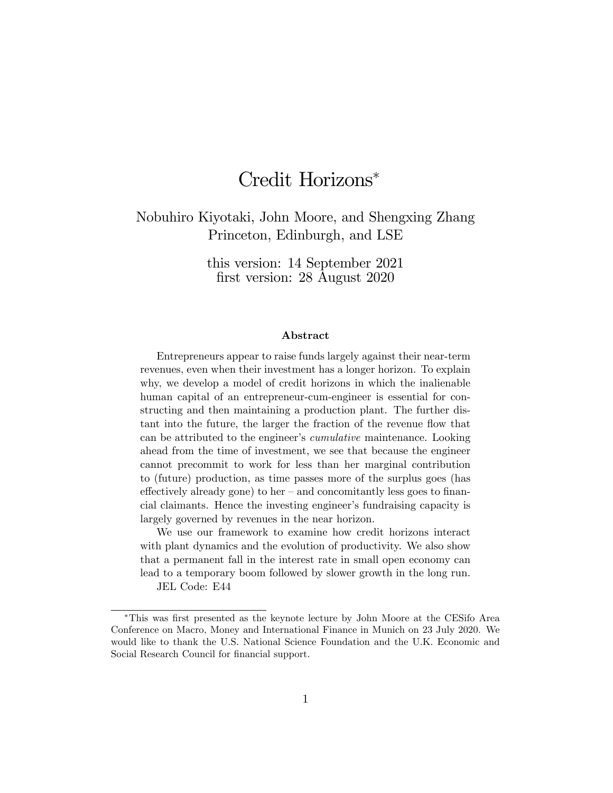# Credit Horizons

Nobuhiro Kiyotaki, John Moore, and Shengxing Zhang Princeton, Edinburgh, and LSE

> this version: 14 September 2021 first version: 28 August 2020

#### Abstract

Entrepreneurs appear to raise funds largely against their near-term revenues, even when their investment has a longer horizon. To explain why, we develop a model of credit horizons in which the inalienable human capital of an entrepreneur-cum-engineer is essential for constructing and then maintaining a production plant. The further distant into the future, the larger the fraction of the revenue flow that can be attributed to the engineer's *cumulative* maintenance. Looking ahead from the time of investment, we see that because the engineer cannot precommit to work for less than her marginal contribution to (future) production, as time passes more of the surplus goes (has  $\alpha$  effectively already gone) to her – and concomitantly less goes to financial claimants. Hence the investing engineer's fundraising capacity is largely governed by revenues in the near horizon.

We use our framework to examine how credit horizons interact with plant dynamics and the evolution of productivity. We also show that a permanent fall in the interest rate in small open economy can lead to a temporary boom followed by slower growth in the long run.

JEL Code: E44

<sup>&</sup>lt;sup>\*</sup>This was first presented as the keynote lecture by John Moore at the CESifo Area Conference on Macro, Money and International Finance in Munich on 23 July 2020. We would like to thank the U.S. National Science Foundation and the U.K. Economic and Social Research Council for financial support.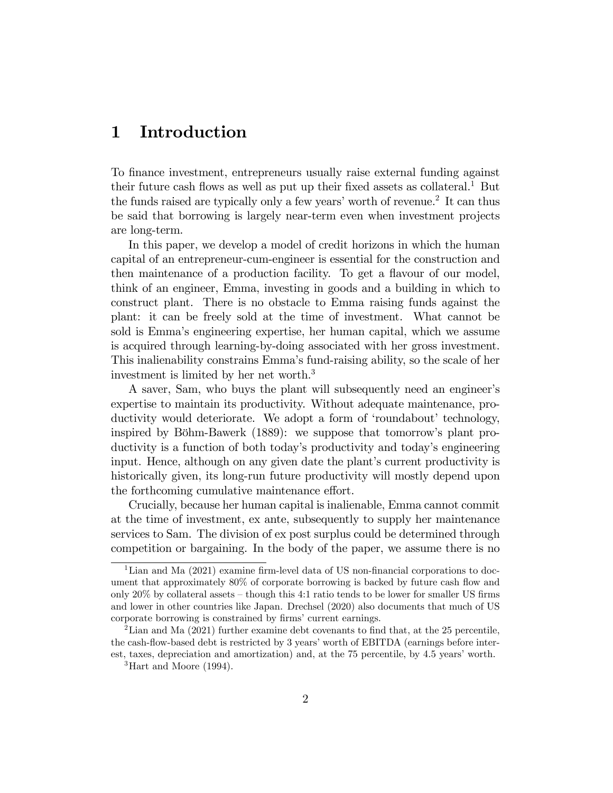## 1 Introduction

To Önance investment, entrepreneurs usually raise external funding against their future cash flows as well as put up their fixed assets as collateral.<sup>1</sup> But the funds raised are typically only a few years' worth of revenue.<sup>2</sup> It can thus be said that borrowing is largely near-term even when investment projects are long-term.

In this paper, we develop a model of credit horizons in which the human capital of an entrepreneur-cum-engineer is essential for the construction and then maintenance of a production facility. To get a flavour of our model, think of an engineer, Emma, investing in goods and a building in which to construct plant. There is no obstacle to Emma raising funds against the plant: it can be freely sold at the time of investment. What cannot be sold is Emmaís engineering expertise, her human capital, which we assume is acquired through learning-by-doing associated with her gross investment. This inalienability constrains Emmaís fund-raising ability, so the scale of her investment is limited by her net worth.<sup>3</sup>

A saver, Sam, who buys the plant will subsequently need an engineer's expertise to maintain its productivity. Without adequate maintenance, productivity would deteriorate. We adopt a form of 'roundabout' technology, inspired by Böhm-Bawerk  $(1889)$ : we suppose that tomorrow's plant productivity is a function of both today's productivity and today's engineering input. Hence, although on any given date the plant's current productivity is historically given, its long-run future productivity will mostly depend upon the forthcoming cumulative maintenance effort.

Crucially, because her human capital is inalienable, Emma cannot commit at the time of investment, ex ante, subsequently to supply her maintenance services to Sam. The division of ex post surplus could be determined through competition or bargaining. In the body of the paper, we assume there is no

<sup>&</sup>lt;sup>1</sup>Lian and Ma  $(2021)$  examine firm-level data of US non-financial corporations to document that approximately  $80\%$  of corporate borrowing is backed by future cash flow and only  $20\%$  by collateral assets  $-$  though this 4:1 ratio tends to be lower for smaller US firms and lower in other countries like Japan. Drechsel (2020) also documents that much of US corporate borrowing is constrained by firms' current earnings.

<sup>&</sup>lt;sup>2</sup>Lian and Ma  $(2021)$  further examine debt covenants to find that, at the 25 percentile, the cash-flow-based debt is restricted by 3 years' worth of EBITDA (earnings before interest, taxes, depreciation and amortization) and, at the 75 percentile, by 4.5 years' worth.

 ${}^{3}$ Hart and Moore (1994).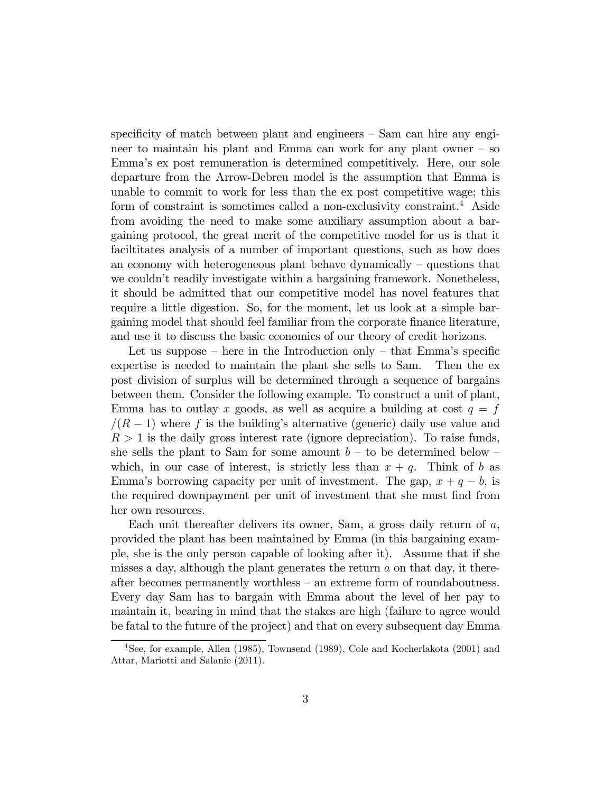specificity of match between plant and engineers  $\overline{\phantom{a}}$  Sam can hire any engineer to maintain his plant and Emma can work for any plant owner  $-$  so Emmaís ex post remuneration is determined competitively. Here, our sole departure from the Arrow-Debreu model is the assumption that Emma is unable to commit to work for less than the ex post competitive wage; this form of constraint is sometimes called a non-exclusivity constraint.<sup>4</sup> Aside from avoiding the need to make some auxiliary assumption about a bargaining protocol, the great merit of the competitive model for us is that it faciltitates analysis of a number of important questions, such as how does an economy with heterogeneous plant behave dynamically  $\sim$  questions that we couldn't readily investigate within a bargaining framework. Nonetheless, it should be admitted that our competitive model has novel features that require a little digestion. So, for the moment, let us look at a simple bargaining model that should feel familiar from the corporate Önance literature, and use it to discuss the basic economics of our theory of credit horizons.

Let us suppose  $h$  here in the Introduction only  $-\theta$  that Emma's specific expertise is needed to maintain the plant she sells to Sam. Then the ex post division of surplus will be determined through a sequence of bargains between them. Consider the following example. To construct a unit of plant, Emma has to outlay x goods, as well as acquire a building at cost  $q = f$  $/(R - 1)$  where f is the building's alternative (generic) daily use value and  $R > 1$  is the daily gross interest rate (ignore depreciation). To raise funds, she sells the plant to Sam for some amount  $b -$  to be determined below  $$ which, in our case of interest, is strictly less than  $x + q$ . Think of b as Emma's borrowing capacity per unit of investment. The gap,  $x + q - b$ , is the required downpayment per unit of investment that she must find from her own resources.

Each unit thereafter delivers its owner, Sam, a gross daily return of a, provided the plant has been maintained by Emma (in this bargaining example, she is the only person capable of looking after it). Assume that if she misses a day, although the plant generates the return  $a$  on that day, it thereafter becomes permanently worthless  $-$  an extreme form of roundaboutness. Every day Sam has to bargain with Emma about the level of her pay to maintain it, bearing in mind that the stakes are high (failure to agree would be fatal to the future of the project) and that on every subsequent day Emma

<sup>4</sup>See, for example, Allen (1985), Townsend (1989), Cole and Kocherlakota (2001) and Attar, Mariotti and Salanie (2011).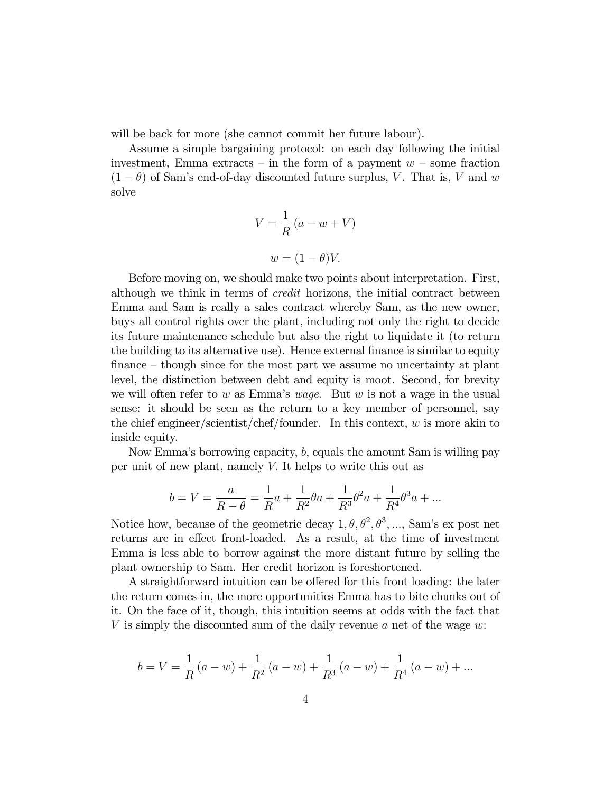will be back for more (she cannot commit her future labour).

Assume a simple bargaining protocol: on each day following the initial investment, Emma extracts – in the form of a payment  $w$  – some fraction  $(1 - \theta)$  of Sam's end-of-day discounted future surplus, V. That is, V and w solve

$$
V = \frac{1}{R} (a - w + V)
$$

$$
w = (1 - \theta)V.
$$

Before moving on, we should make two points about interpretation. First, although we think in terms of credit horizons, the initial contract between Emma and Sam is really a sales contract whereby Sam, as the new owner, buys all control rights over the plant, including not only the right to decide its future maintenance schedule but also the right to liquidate it (to return the building to its alternative use). Hence external finance is similar to equity  $f$  finance  $-\theta$  though since for the most part we assume no uncertainty at plant level, the distinction between debt and equity is moot. Second, for brevity we will often refer to w as Emma's wage. But w is not a wage in the usual sense: it should be seen as the return to a key member of personnel, say the chief engineer/scientist/chef/founder. In this context,  $w$  is more akin to inside equity.

Now Emmaís borrowing capacity, b; equals the amount Sam is willing pay per unit of new plant, namely V: It helps to write this out as

$$
b = V = \frac{a}{R - \theta} = \frac{1}{R}a + \frac{1}{R^2}\theta a + \frac{1}{R^3}\theta^2 a + \frac{1}{R^4}\theta^3 a + \dots
$$

Notice how, because of the geometric decay  $1, \theta, \theta^2, \theta^3, \dots$ , Sam's expost net returns are in effect front-loaded. As a result, at the time of investment Emma is less able to borrow against the more distant future by selling the plant ownership to Sam. Her credit horizon is foreshortened.

A straightforward intuition can be offered for this front loading: the later the return comes in, the more opportunities Emma has to bite chunks out of it. On the face of it, though, this intuition seems at odds with the fact that V is simply the discounted sum of the daily revenue  $a$  net of the wage  $w$ :

$$
b = V = \frac{1}{R}(a - w) + \frac{1}{R^2}(a - w) + \frac{1}{R^3}(a - w) + \frac{1}{R^4}(a - w) + \dots
$$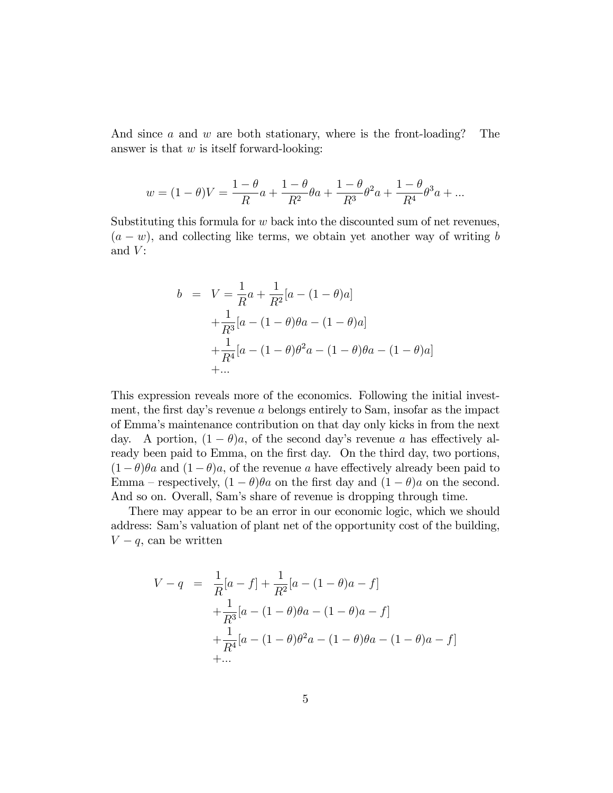And since a and w are both stationary, where is the front-loading? The answer is that  $w$  is itself forward-looking:

$$
w = (1 - \theta)V = \frac{1 - \theta}{R}a + \frac{1 - \theta}{R^2}\theta a + \frac{1 - \theta}{R^3}\theta^2 a + \frac{1 - \theta}{R^4}\theta^3 a + \dots
$$

Substituting this formula for  $w$  back into the discounted sum of net revenues,  $(a - w)$ , and collecting like terms, we obtain yet another way of writing b and  $V$ :

$$
b = V = \frac{1}{R}a + \frac{1}{R^2}[a - (1 - \theta)a]
$$
  
+  $\frac{1}{R^3}[a - (1 - \theta)\theta a - (1 - \theta)a]$   
+  $\frac{1}{R^4}[a - (1 - \theta)\theta^2 a - (1 - \theta)\theta a - (1 - \theta)a]$   
+...

This expression reveals more of the economics. Following the initial investment, the first day's revenue  $\alpha$  belongs entirely to Sam, insofar as the impact of Emmaís maintenance contribution on that day only kicks in from the next day. A portion,  $(1 - \theta)a$ , of the second day's revenue a has effectively already been paid to Emma, on the first day. On the third day, two portions,  $(1 - \theta)\theta a$  and  $(1 - \theta)a$ , of the revenue a have effectively already been paid to Emma – respectively,  $(1 - \theta)\theta a$  on the first day and  $(1 - \theta)a$  on the second. And so on. Overall, Sam's share of revenue is dropping through time.

There may appear to be an error in our economic logic, which we should address: Samís valuation of plant net of the opportunity cost of the building,  $V - q$ , can be written

$$
V - q = \frac{1}{R}[a - f] + \frac{1}{R^2}[a - (1 - \theta)a - f]
$$
  
+ 
$$
\frac{1}{R^3}[a - (1 - \theta)\theta a - (1 - \theta)a - f]
$$
  
+ 
$$
\frac{1}{R^4}[a - (1 - \theta)\theta^2 a - (1 - \theta)\theta a - (1 - \theta)a - f]
$$
  
+...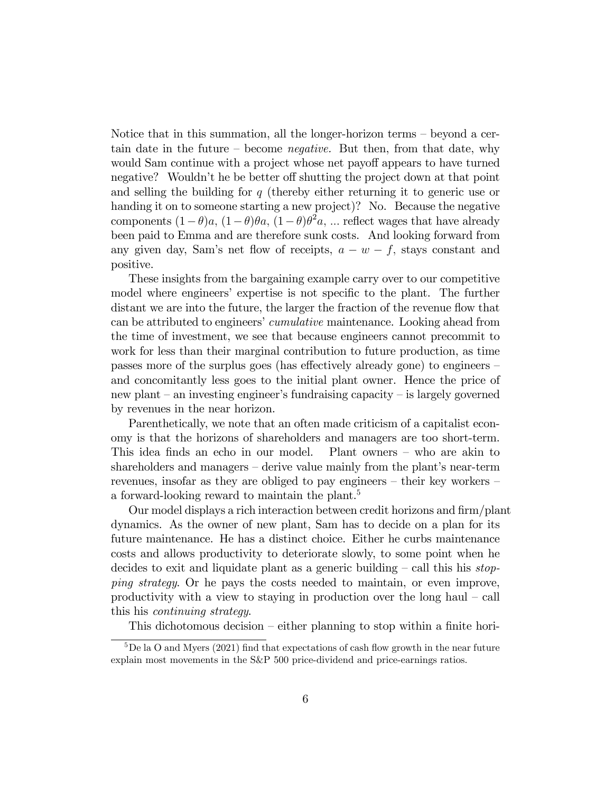Notice that in this summation, all the longer-horizon terms  $-$  beyond a certain date in the future  $\sim$  become *negative*. But then, from that date, why would Sam continue with a project whose net payoff appears to have turned negative? Wouldn't he be better off shutting the project down at that point and selling the building for  $q$  (thereby either returning it to generic use or handing it on to someone starting a new project)? No. Because the negative components  $(1-\theta)a$ ,  $(1-\theta)\theta a$ ,  $(1-\theta)\theta^2 a$ , ... reflect wages that have already been paid to Emma and are therefore sunk costs. And looking forward from any given day, Sam's net flow of receipts,  $a - w - f$ , stays constant and positive.

These insights from the bargaining example carry over to our competitive model where engineers' expertise is not specific to the plant. The further distant we are into the future, the larger the fraction of the revenue flow that can be attributed to engineers' *cumulative* maintenance. Looking ahead from the time of investment, we see that because engineers cannot precommit to work for less than their marginal contribution to future production, as time passes more of the surplus goes (has effectively already gone) to engineers  $$ and concomitantly less goes to the initial plant owner. Hence the price of new plant  $-$  an investing engineer's fundraising capacity  $-$  is largely governed by revenues in the near horizon.

Parenthetically, we note that an often made criticism of a capitalist economy is that the horizons of shareholders and managers are too short-term. This idea finds an echo in our model. Plant owners  $-$  who are akin to shareholders and managers  $-\overline{\phantom{a}}$  derive value mainly from the plant's near-term revenues, insofar as they are obliged to pay engineers  $-$  their key workers  $$ a forward-looking reward to maintain the plant.<sup>5</sup>

Our model displays a rich interaction between credit horizons and Örm/plant dynamics. As the owner of new plant, Sam has to decide on a plan for its future maintenance. He has a distinct choice. Either he curbs maintenance costs and allows productivity to deteriorate slowly, to some point when he decides to exit and liquidate plant as a generic building  $-\text{call this his stop-}$ ping strategy. Or he pays the costs needed to maintain, or even improve, productivity with a view to staying in production over the long haul  $-$  call this his continuing strategy.

This dichotomous decision  $-\text{either planning to stop within a finite hori-}$ 

 ${}^{5}$ De la O and Myers (2021) find that expectations of cash flow growth in the near future explain most movements in the S&P 500 price-dividend and price-earnings ratios.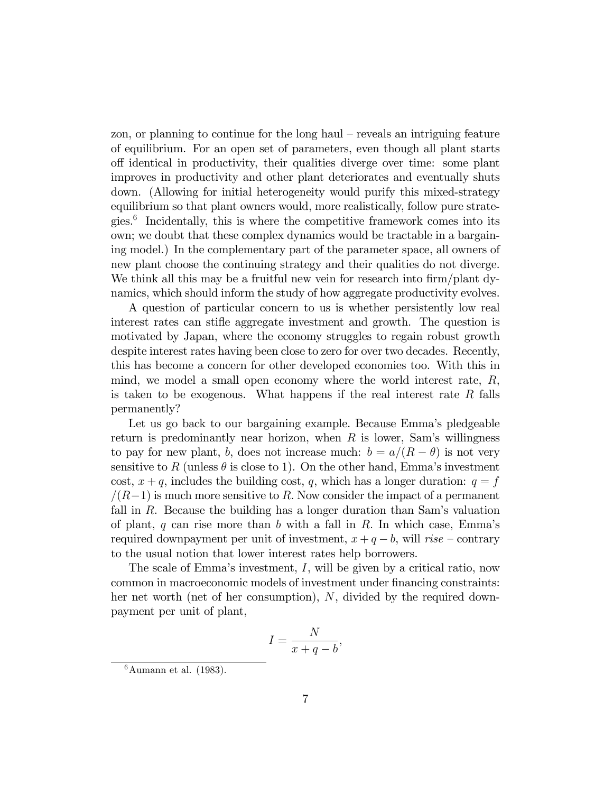zon, or planning to continue for the long haul  $-$  reveals an intriguing feature of equilibrium. For an open set of parameters, even though all plant starts o§ identical in productivity, their qualities diverge over time: some plant improves in productivity and other plant deteriorates and eventually shuts down. (Allowing for initial heterogeneity would purify this mixed-strategy equilibrium so that plant owners would, more realistically, follow pure strategies.<sup>6</sup> Incidentally, this is where the competitive framework comes into its own; we doubt that these complex dynamics would be tractable in a bargaining model.) In the complementary part of the parameter space, all owners of new plant choose the continuing strategy and their qualities do not diverge. We think all this may be a fruitful new vein for research into firm/plant dynamics, which should inform the study of how aggregate productivity evolves.

A question of particular concern to us is whether persistently low real interest rates can stiffe aggregate investment and growth. The question is motivated by Japan, where the economy struggles to regain robust growth despite interest rates having been close to zero for over two decades. Recently, this has become a concern for other developed economies too. With this in mind, we model a small open economy where the world interest rate,  $R$ , is taken to be exogenous. What happens if the real interest rate  $R$  falls permanently?

Let us go back to our bargaining example. Because Emma's pledgeable return is predominantly near horizon, when  $R$  is lower, Sam's willingness to pay for new plant, b, does not increase much:  $b = a/(R - \theta)$  is not very sensitive to R (unless  $\theta$  is close to 1). On the other hand, Emma's investment cost,  $x + q$ , includes the building cost, q, which has a longer duration:  $q = f$  $/(R-1)$  is much more sensitive to R. Now consider the impact of a permanent fall in R. Because the building has a longer duration than Sam's valuation of plant, q can rise more than b with a fall in R. In which case, Emma's required downpayment per unit of investment,  $x + q - b$ , will rise – contrary to the usual notion that lower interest rates help borrowers.

The scale of Emma's investment,  $I$ , will be given by a critical ratio, now common in macroeconomic models of investment under financing constraints: her net worth (net of her consumption), N, divided by the required downpayment per unit of plant,

$$
I = \frac{N}{x+q-b},
$$

 $6$ Aumann et al. (1983).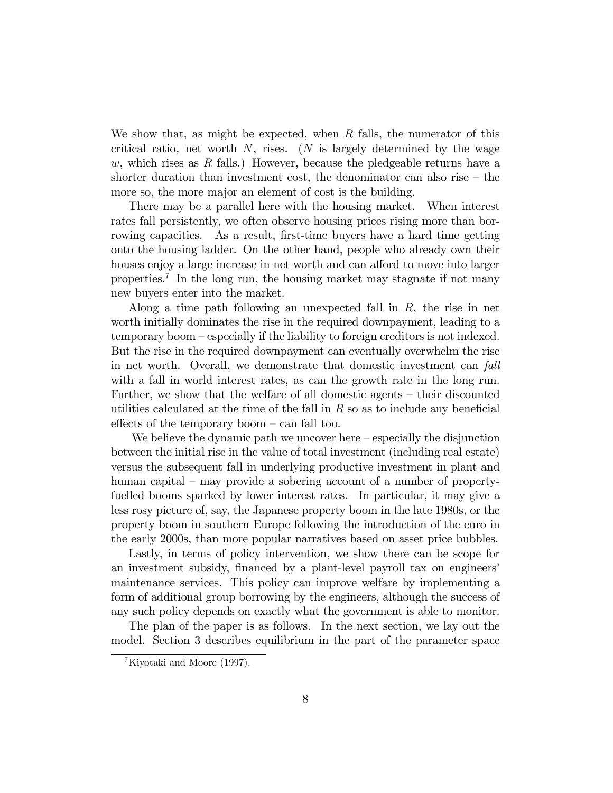We show that, as might be expected, when  $R$  falls, the numerator of this critical ratio, net worth  $N$ , rises. (N is largely determined by the wage w, which rises as R falls.) However, because the pledgeable returns have a shorter duration than investment cost, the denominator can also rise  $-$  the more so, the more major an element of cost is the building.

There may be a parallel here with the housing market. When interest rates fall persistently, we often observe housing prices rising more than borrowing capacities. As a result, first-time buyers have a hard time getting onto the housing ladder. On the other hand, people who already own their houses enjoy a large increase in net worth and can afford to move into larger properties.<sup>7</sup> In the long run, the housing market may stagnate if not many new buyers enter into the market.

Along a time path following an unexpected fall in  $R$ , the rise in net worth initially dominates the rise in the required downpayment, leading to a temporary boom – especially if the liability to foreign creditors is not indexed. But the rise in the required downpayment can eventually overwhelm the rise in net worth. Overall, we demonstrate that domestic investment can fall with a fall in world interest rates, as can the growth rate in the long run. Further, we show that the welfare of all domestic agents  $-$  their discounted utilities calculated at the time of the fall in  $R$  so as to include any beneficial effects of the temporary boom  $-$  can fall too.

We believe the dynamic path we uncover here  $-\epsilon$  especially the disjunction between the initial rise in the value of total investment (including real estate) versus the subsequent fall in underlying productive investment in plant and human capital  $-$  may provide a sobering account of a number of propertyfuelled booms sparked by lower interest rates. In particular, it may give a less rosy picture of, say, the Japanese property boom in the late 1980s, or the property boom in southern Europe following the introduction of the euro in the early 2000s, than more popular narratives based on asset price bubbles.

Lastly, in terms of policy intervention, we show there can be scope for an investment subsidy, financed by a plant-level payroll tax on engineers' maintenance services. This policy can improve welfare by implementing a form of additional group borrowing by the engineers, although the success of any such policy depends on exactly what the government is able to monitor.

The plan of the paper is as follows. In the next section, we lay out the model. Section 3 describes equilibrium in the part of the parameter space

<sup>7</sup>Kiyotaki and Moore (1997).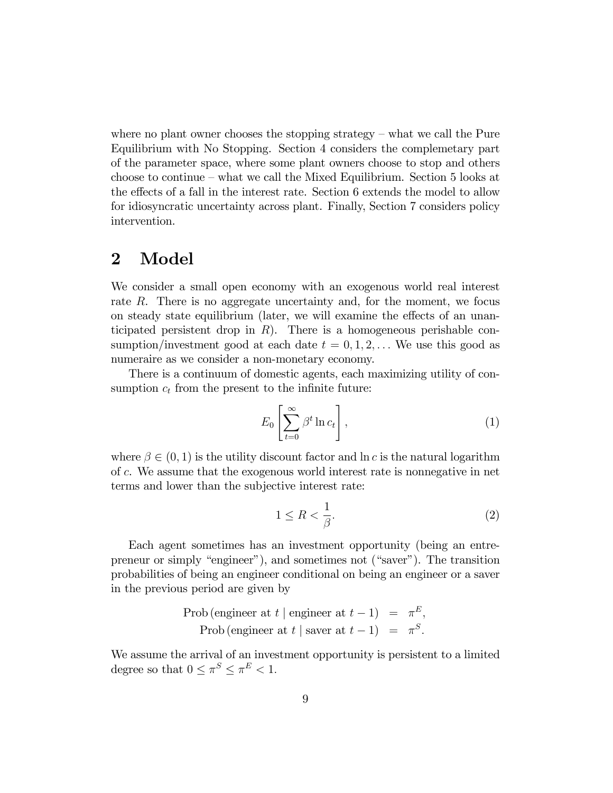where no plant owner chooses the stopping strategy  $-\omega$  what we call the Pure Equilibrium with No Stopping. Section 4 considers the complemetary part of the parameter space, where some plant owners choose to stop and others choose to continue  $-\omega$  what we call the Mixed Equilibrium. Section 5 looks at the effects of a fall in the interest rate. Section 6 extends the model to allow for idiosyncratic uncertainty across plant. Finally, Section 7 considers policy intervention.

## 2 Model

We consider a small open economy with an exogenous world real interest rate R. There is no aggregate uncertainty and, for the moment, we focus on steady state equilibrium (later, we will examine the effects of an unanticipated persistent drop in  $R$ ). There is a homogeneous perishable consumption/investment good at each date  $t = 0, 1, 2, \ldots$  We use this good as numeraire as we consider a non-monetary economy.

There is a continuum of domestic agents, each maximizing utility of consumption  $c_t$  from the present to the infinite future:

$$
E_0 \left[ \sum_{t=0}^{\infty} \beta^t \ln c_t \right], \tag{1}
$$

where  $\beta \in (0,1)$  is the utility discount factor and  $\ln c$  is the natural logarithm of c. We assume that the exogenous world interest rate is nonnegative in net terms and lower than the subjective interest rate:

$$
1 \le R < \frac{1}{\beta}.\tag{2}
$$

Each agent sometimes has an investment opportunity (being an entrepreneur or simply "engineer"), and sometimes not ("saver"). The transition probabilities of being an engineer conditional on being an engineer or a saver in the previous period are given by

Prob (engineer at 
$$
t
$$
 | engineer at  $t-1$ ) =  $\pi^E$ ,  
Prob (engineer at  $t$  | saver at  $t-1$ ) =  $\pi^S$ .

We assume the arrival of an investment opportunity is persistent to a limited degree so that  $0 \leq \pi^S \leq \pi^E < 1$ .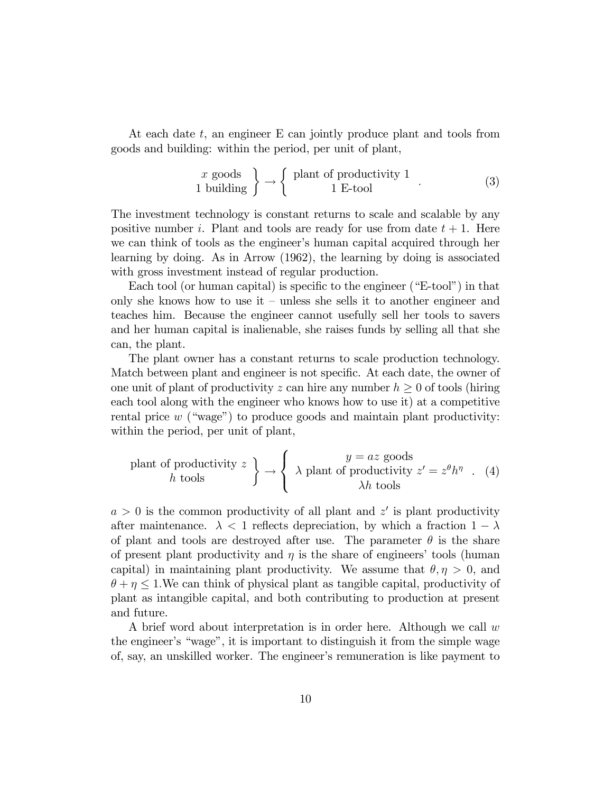At each date t, an engineer E can jointly produce plant and tools from goods and building: within the period, per unit of plant,

$$
\begin{array}{c}\nx \text{ goods} \\
1 \text{ building}\n\end{array}\n\right\} \rightarrow\n\begin{cases}\n\text{plant of productivity 1} \\
1 \text{ E-tool}\n\end{cases}.\n\tag{3}
$$

The investment technology is constant returns to scale and scalable by any positive number i. Plant and tools are ready for use from date  $t + 1$ . Here we can think of tools as the engineer's human capital acquired through her learning by doing. As in Arrow (1962), the learning by doing is associated with gross investment instead of regular production.

Each tool (or human capital) is specific to the engineer ( $E$ -tool<sup>n</sup>) in that only she knows how to use it  $-$  unless she sells it to another engineer and teaches him. Because the engineer cannot usefully sell her tools to savers and her human capital is inalienable, she raises funds by selling all that she can, the plant.

The plant owner has a constant returns to scale production technology. Match between plant and engineer is not specific. At each date, the owner of one unit of plant of productivity z can hire any number  $h \geq 0$  of tools (hiring each tool along with the engineer who knows how to use it) at a competitive rental price  $w$  ("wage") to produce goods and maintain plant productivity: within the period, per unit of plant,

$$
\text{plant of productivity } z \quad h \text{ tools} \quad \left\{ \begin{array}{c} y = az \text{ goods} \\ \lambda \text{ plant of productivity } z' = z^{\theta} h^{\eta} \quad . \quad (4) \\ \lambda h \text{ tools} \end{array} \right.
$$

 $a > 0$  is the common productivity of all plant and  $z'$  is plant productivity after maintenance.  $\lambda < 1$  reflects depreciation, by which a fraction  $1 - \lambda$ of plant and tools are destroyed after use. The parameter  $\theta$  is the share of present plant productivity and  $\eta$  is the share of engineers' tools (human capital) in maintaining plant productivity. We assume that  $\theta, \eta > 0$ , and  $\theta + \eta \leq 1$ . We can think of physical plant as tangible capital, productivity of plant as intangible capital, and both contributing to production at present and future.

A brief word about interpretation is in order here. Although we call w the engineer's "wage", it is important to distinguish it from the simple wage of, say, an unskilled worker. The engineerís remuneration is like payment to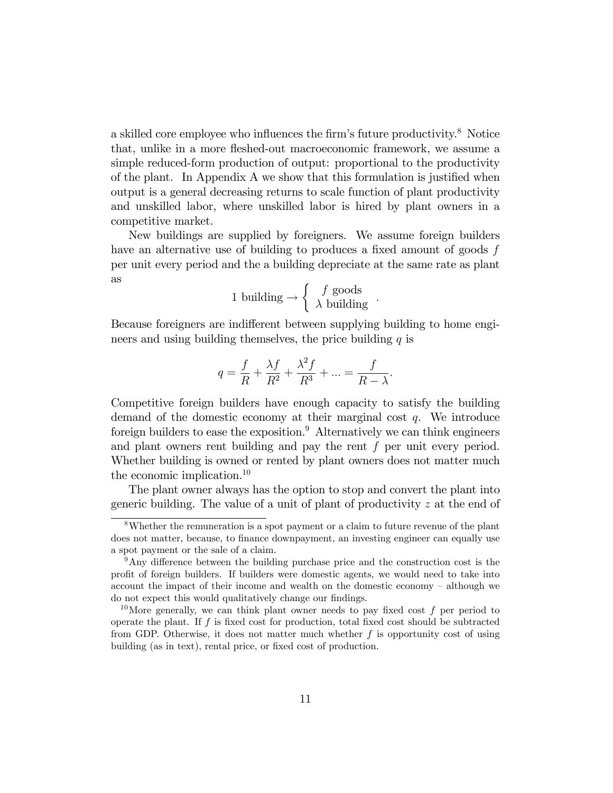a skilled core employee who influences the firm's future productivity.<sup>8</sup> Notice that, unlike in a more fleshed-out macroeconomic framework, we assume a simple reduced-form production of output: proportional to the productivity of the plant. In Appendix A we show that this formulation is justified when output is a general decreasing returns to scale function of plant productivity and unskilled labor, where unskilled labor is hired by plant owners in a competitive market.

New buildings are supplied by foreigners. We assume foreign builders have an alternative use of building to produces a fixed amount of goods  $f$ per unit every period and the a building depreciate at the same rate as plant as

$$
1 \text{ building} \rightarrow \left\{ \begin{array}{c} f \text{ goods} \\ \lambda \text{ building} \end{array} \right..
$$

Because foreigners are indifferent between supplying building to home engineers and using building themselves, the price building  $q$  is

$$
q = \frac{f}{R} + \frac{\lambda f}{R^2} + \frac{\lambda^2 f}{R^3} + \dots = \frac{f}{R - \lambda}.
$$

Competitive foreign builders have enough capacity to satisfy the building demand of the domestic economy at their marginal cost  $q$ . We introduce foreign builders to ease the exposition.<sup>9</sup> Alternatively we can think engineers and plant owners rent building and pay the rent f per unit every period. Whether building is owned or rented by plant owners does not matter much the economic implication.<sup>10</sup>

The plant owner always has the option to stop and convert the plant into generic building. The value of a unit of plant of productivity z at the end of

<sup>8</sup>Whether the remuneration is a spot payment or a claim to future revenue of the plant does not matter, because, to finance downpayment, an investing engineer can equally use a spot payment or the sale of a claim.

 $9$ Any difference between the building purchase price and the construction cost is the profit of foreign builders. If builders were domestic agents, we would need to take into account the impact of their income and wealth on the domestic economy  $-$  although we do not expect this would qualitatively change our findings.

<sup>&</sup>lt;sup>10</sup>More generally, we can think plant owner needs to pay fixed cost f per period to operate the plant. If  $f$  is fixed cost for production, total fixed cost should be subtracted from GDP. Otherwise, it does not matter much whether  $f$  is opportunity cost of using building (as in text), rental price, or fixed cost of production.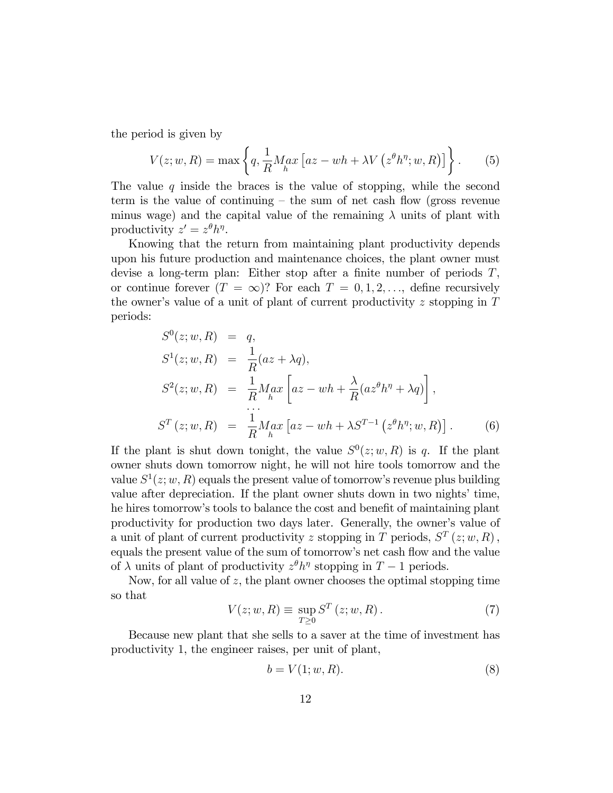the period is given by

$$
V(z; w, R) = \max \left\{ q, \frac{1}{R} M_{h} a x \left[ az - wh + \lambda V \left( z^{\theta} h^{\eta}; w, R \right) \right] \right\}.
$$
 (5)

The value q inside the braces is the value of stopping, while the second term is the value of continuing  $-\theta$  the sum of net cash flow (gross revenue minus wage) and the capital value of the remaining  $\lambda$  units of plant with productivity  $z' = z^{\theta} h^{\eta}$ .

Knowing that the return from maintaining plant productivity depends upon his future production and maintenance choices, the plant owner must devise a long-term plan: Either stop after a finite number of periods  $T$ , or continue forever  $(T = \infty)$ ? For each  $T = 0, 1, 2, \ldots$ , define recursively the owner's value of a unit of plant of current productivity  $z$  stopping in  $T$ periods:

$$
S^{0}(z; w, R) = q,
$$
  
\n
$$
S^{1}(z; w, R) = \frac{1}{R}(az + \lambda q),
$$
  
\n
$$
S^{2}(z; w, R) = \frac{1}{R} \underset{h}{Max} \left[ az - wh + \frac{\lambda}{R}(az^{\theta}h^{\eta} + \lambda q) \right],
$$
  
\n
$$
S^{T}(z; w, R) = \frac{1}{R} \underset{h}{Max} \left[ az - wh + \lambda S^{T-1} \left( z^{\theta}h^{\eta}; w, R \right) \right].
$$
 (6)

If the plant is shut down tonight, the value  $S^0(z; w, R)$  is q. If the plant owner shuts down tomorrow night, he will not hire tools tomorrow and the value  $S^1(z; w, R)$  equals the present value of tomorrow's revenue plus building value after depreciation. If the plant owner shuts down in two nights' time, he hires tomorrow's tools to balance the cost and benefit of maintaining plant productivity for production two days later. Generally, the owner's value of a unit of plant of current productivity z stopping in T periods,  $S<sup>T</sup>(z;w,R)$ , equals the present value of the sum of tomorrow's net cash flow and the value of  $\lambda$  units of plant of productivity  $z^{\theta}h^{\eta}$  stopping in  $T-1$  periods.

Now, for all value of  $z$ , the plant owner chooses the optimal stopping time so that

$$
V(z; w, R) \equiv \sup_{T \ge 0} S^T(z; w, R). \tag{7}
$$

Because new plant that she sells to a saver at the time of investment has productivity 1, the engineer raises, per unit of plant,

$$
b = V(1; w, R). \tag{8}
$$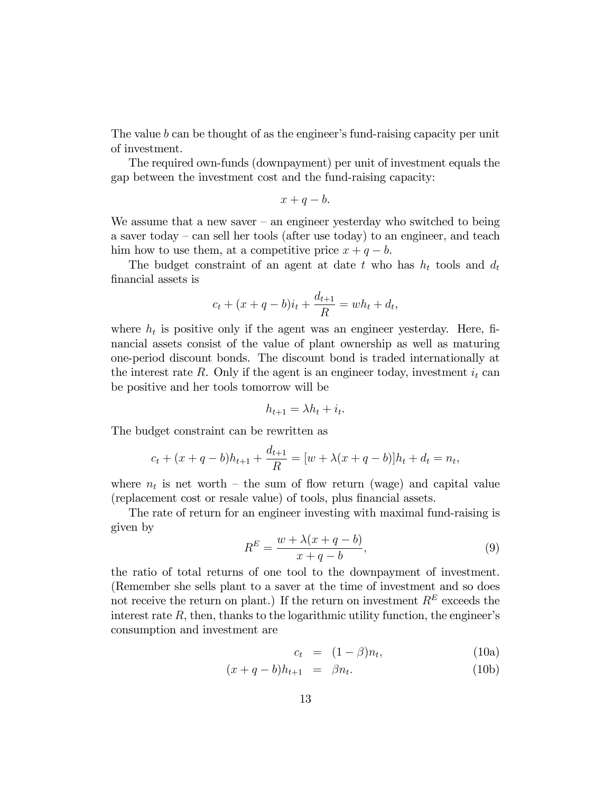The value  $b$  can be thought of as the engineer's fund-raising capacity per unit of investment.

The required own-funds (downpayment) per unit of investment equals the gap between the investment cost and the fund-raising capacity:

$$
x+q-b.
$$

We assume that a new saver  $-$  an engineer yesterday who switched to being a saver today  $-$  can sell her tools (after use today) to an engineer, and teach him how to use them, at a competitive price  $x + q - b$ .

The budget constraint of an agent at date t who has  $h_t$  tools and  $d_t$ Önancial assets is

$$
c_t + (x + q - b)i_t + \frac{d_{t+1}}{R} = wh_t + d_t,
$$

where  $h_t$  is positive only if the agent was an engineer yesterday. Here, financial assets consist of the value of plant ownership as well as maturing one-period discount bonds. The discount bond is traded internationally at the interest rate R. Only if the agent is an engineer today, investment  $i_t$  can be positive and her tools tomorrow will be

$$
h_{t+1} = \lambda h_t + i_t.
$$

The budget constraint can be rewritten as

$$
c_t + (x + q - b)h_{t+1} + \frac{d_{t+1}}{R} = [w + \lambda(x + q - b)]h_t + d_t = n_t,
$$

where  $n_t$  is net worth – the sum of flow return (wage) and capital value (replacement cost or resale value) of tools, plus financial assets.

The rate of return for an engineer investing with maximal fund-raising is given by

$$
R^{E} = \frac{w + \lambda(x + q - b)}{x + q - b},
$$
\n<sup>(9)</sup>

the ratio of total returns of one tool to the downpayment of investment. (Remember she sells plant to a saver at the time of investment and so does not receive the return on plant.) If the return on investment  $R<sup>E</sup>$  exceeds the interest rate  $R$ , then, thanks to the logarithmic utility function, the engineer's consumption and investment are

$$
c_t = (1 - \beta)n_t, \qquad (10a)
$$

$$
(x + q - b)h_{t+1} = \beta n_t.
$$
 (10b)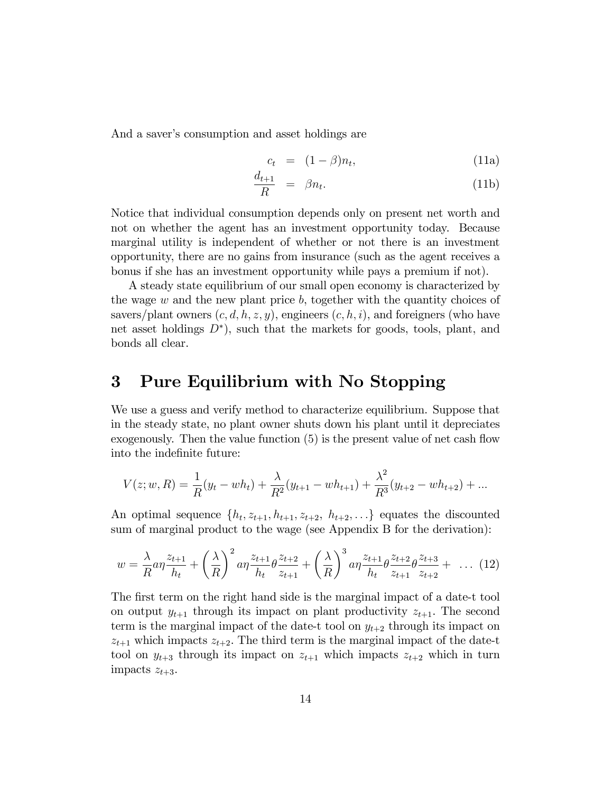And a saver's consumption and asset holdings are

$$
c_t = (1 - \beta)n_t, \tag{11a}
$$

$$
\frac{d_{t+1}}{R} = \beta n_t. \tag{11b}
$$

Notice that individual consumption depends only on present net worth and not on whether the agent has an investment opportunity today. Because marginal utility is independent of whether or not there is an investment opportunity, there are no gains from insurance (such as the agent receives a bonus if she has an investment opportunity while pays a premium if not).

A steady state equilibrium of our small open economy is characterized by the wage  $w$  and the new plant price  $b$ , together with the quantity choices of savers/plant owners  $(c, d, h, z, y)$ , engineers  $(c, h, i)$ , and foreigners (who have net asset holdings  $D^*$ ), such that the markets for goods, tools, plant, and bonds all clear.

## 3 Pure Equilibrium with No Stopping

We use a guess and verify method to characterize equilibrium. Suppose that in the steady state, no plant owner shuts down his plant until it depreciates exogenously. Then the value function  $(5)$  is the present value of net cash flow into the indefinite future:

$$
V(z; w, R) = \frac{1}{R}(y_t - wh_t) + \frac{\lambda}{R^2}(y_{t+1} - wh_{t+1}) + \frac{\lambda^2}{R^3}(y_{t+2} - wh_{t+2}) + \dots
$$

An optimal sequence  $\{h_t, z_{t+1}, h_{t+1}, z_{t+2}, h_{t+2}, \ldots\}$  equates the discounted sum of marginal product to the wage (see Appendix B for the derivation):

$$
w = \frac{\lambda}{R} a \eta \frac{z_{t+1}}{h_t} + \left(\frac{\lambda}{R}\right)^2 a \eta \frac{z_{t+1}}{h_t} \theta \frac{z_{t+2}}{z_{t+1}} + \left(\frac{\lambda}{R}\right)^3 a \eta \frac{z_{t+1}}{h_t} \theta \frac{z_{t+2}}{z_{t+1}} \theta \frac{z_{t+3}}{z_{t+2}} + \dots (12)
$$

The first term on the right hand side is the marginal impact of a date-t tool on output  $y_{t+1}$  through its impact on plant productivity  $z_{t+1}$ . The second term is the marginal impact of the date-t tool on  $y_{t+2}$  through its impact on  $z_{t+1}$  which impacts  $z_{t+2}$ . The third term is the marginal impact of the date-t tool on  $y_{t+3}$  through its impact on  $z_{t+1}$  which impacts  $z_{t+2}$  which in turn impacts  $z_{t+3}$ .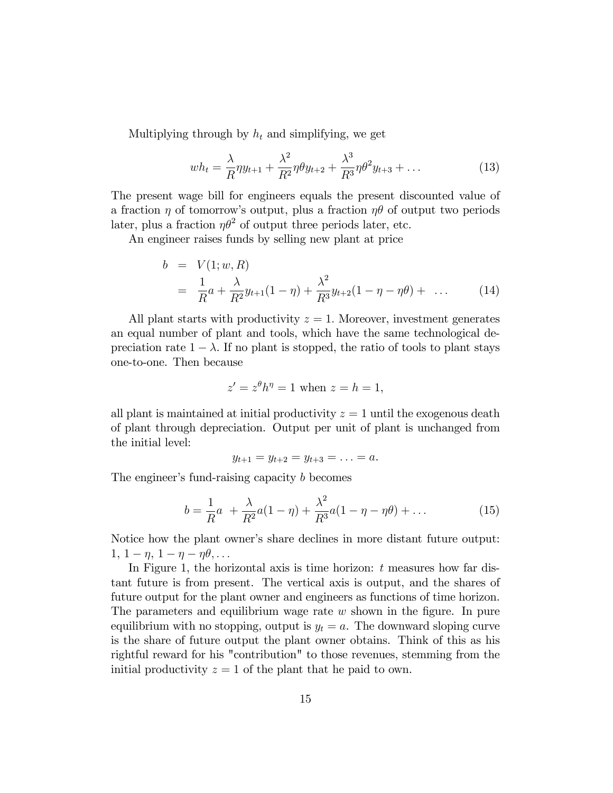Multiplying through by  $h_t$  and simplifying, we get

$$
wh_t = \frac{\lambda}{R} \eta y_{t+1} + \frac{\lambda^2}{R^2} \eta \theta y_{t+2} + \frac{\lambda^3}{R^3} \eta \theta^2 y_{t+3} + \dots
$$
 (13)

The present wage bill for engineers equals the present discounted value of a fraction  $\eta$  of tomorrow's output, plus a fraction  $\eta\theta$  of output two periods later, plus a fraction  $\eta\theta^2$  of output three periods later, etc.

An engineer raises funds by selling new plant at price

$$
b = V(1; w, R)
$$
  
=  $\frac{1}{R}a + \frac{\lambda}{R^2}y_{t+1}(1-\eta) + \frac{\lambda^2}{R^3}y_{t+2}(1-\eta-\eta\theta) + \dots$  (14)

All plant starts with productivity  $z = 1$ . Moreover, investment generates an equal number of plant and tools, which have the same technological depreciation rate  $1 - \lambda$ . If no plant is stopped, the ratio of tools to plant stays one-to-one. Then because

$$
z' = z^{\theta}h^{\eta} = 1
$$
 when  $z = h = 1$ ,

all plant is maintained at initial productivity  $z = 1$  until the exogenous death of plant through depreciation. Output per unit of plant is unchanged from the initial level:

$$
y_{t+1} = y_{t+2} = y_{t+3} = \ldots = a.
$$

The engineer's fund-raising capacity  $b$  becomes

$$
b = \frac{1}{R}a + \frac{\lambda}{R^2}a(1-\eta) + \frac{\lambda^2}{R^3}a(1-\eta - \eta \theta) + \dots
$$
 (15)

Notice how the plant owner's share declines in more distant future output:  $1, 1 - \eta, 1 - \eta - \eta \theta, \ldots$ 

In Figure 1, the horizontal axis is time horizon:  $t$  measures how far distant future is from present. The vertical axis is output, and the shares of future output for the plant owner and engineers as functions of time horizon. The parameters and equilibrium wage rate  $w$  shown in the figure. In pure equilibrium with no stopping, output is  $y_t = a$ . The downward sloping curve is the share of future output the plant owner obtains. Think of this as his rightful reward for his "contribution" to those revenues, stemming from the initial productivity  $z = 1$  of the plant that he paid to own.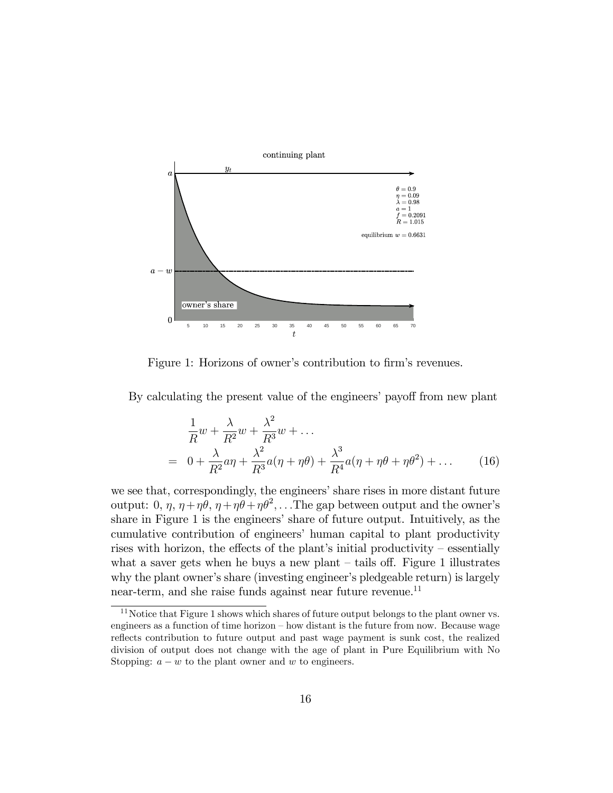

Figure 1: Horizons of owner's contribution to firm's revenues.

By calculating the present value of the engineers' payoff from new plant

$$
\frac{1}{R}w + \frac{\lambda}{R^2}w + \frac{\lambda^2}{R^3}w + \dots
$$
\n
$$
= 0 + \frac{\lambda}{R^2}a\eta + \frac{\lambda^2}{R^3}a(\eta + \eta\theta) + \frac{\lambda^3}{R^4}a(\eta + \eta\theta + \eta\theta^2) + \dots \tag{16}
$$

we see that, correspondingly, the engineers' share rises in more distant future output: 0,  $\eta$ ,  $\eta + \eta \theta$ ,  $\eta + \eta \theta + \eta \theta^2$ , . . The gap between output and the owner's share in Figure 1 is the engineers' share of future output. Intuitively, as the cumulative contribution of engineers' human capital to plant productivity rises with horizon, the effects of the plant's initial productivity  $-$  essentially what a saver gets when he buys a new plant  $-$  tails off. Figure 1 illustrates why the plant owner's share (investing engineer's pledgeable return) is largely near-term, and she raise funds against near future revenue.<sup>11</sup>

 $11$ Notice that Figure 1 shows which shares of future output belongs to the plant owner vs. engineers as a function of time horizon  $-$  how distant is the future from now. Because wage reflects contribution to future output and past wage payment is sunk cost, the realized division of output does not change with the age of plant in Pure Equilibrium with No Stopping:  $a - w$  to the plant owner and w to engineers.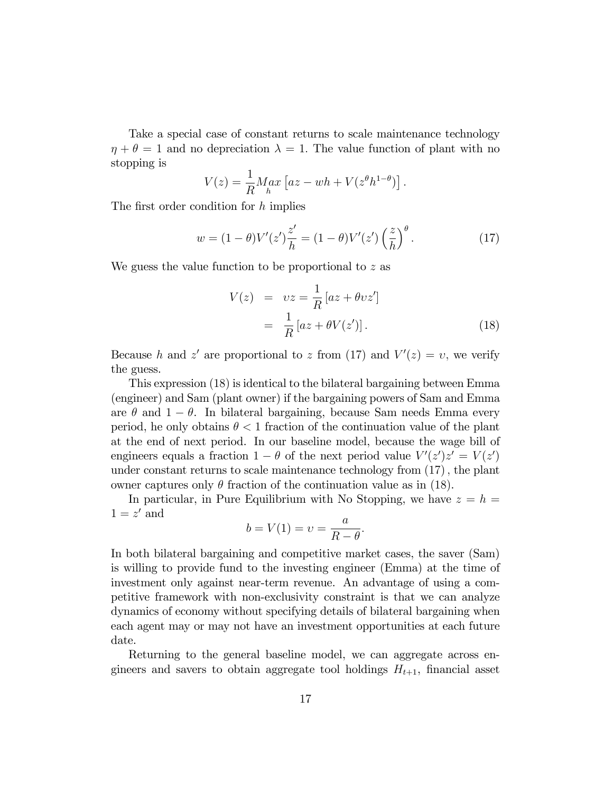Take a special case of constant returns to scale maintenance technology  $\eta + \theta = 1$  and no depreciation  $\lambda = 1$ . The value function of plant with no stopping is

$$
V(z) = \frac{1}{R} M_n a x \left[ az - wh + V(z^{\theta} h^{1-\theta}) \right].
$$

The first order condition for  $h$  implies

$$
w = (1 - \theta)V'(z')\frac{z'}{h} = (1 - \theta)V'(z')\left(\frac{z}{h}\right)^{\theta}.
$$
 (17)

We guess the value function to be proportional to z as

$$
V(z) = vz = \frac{1}{R} [az + \theta vz']
$$
  
=  $\frac{1}{R} [az + \theta V(z')].$  (18)

Because h and z' are proportional to z from (17) and  $V'(z) = v$ , we verify the guess.

This expression (18) is identical to the bilateral bargaining between Emma (engineer) and Sam (plant owner) if the bargaining powers of Sam and Emma are  $\theta$  and  $1 - \theta$ . In bilateral bargaining, because Sam needs Emma every period, he only obtains  $\theta < 1$  fraction of the continuation value of the plant at the end of next period. In our baseline model, because the wage bill of engineers equals a fraction  $1 - \theta$  of the next period value  $V'(z')z' = V(z')$ under constant returns to scale maintenance technology from  $(17)$ , the plant owner captures only  $\theta$  fraction of the continuation value as in (18).

In particular, in Pure Equilibrium with No Stopping, we have  $z = h =$  $1 = z'$  and

$$
b = V(1) = v = \frac{a}{R - \theta}.
$$

In both bilateral bargaining and competitive market cases, the saver (Sam) is willing to provide fund to the investing engineer (Emma) at the time of investment only against near-term revenue. An advantage of using a competitive framework with non-exclusivity constraint is that we can analyze dynamics of economy without specifying details of bilateral bargaining when each agent may or may not have an investment opportunities at each future date.

Returning to the general baseline model, we can aggregate across engineers and savers to obtain aggregate tool holdings  $H_{t+1}$ , financial asset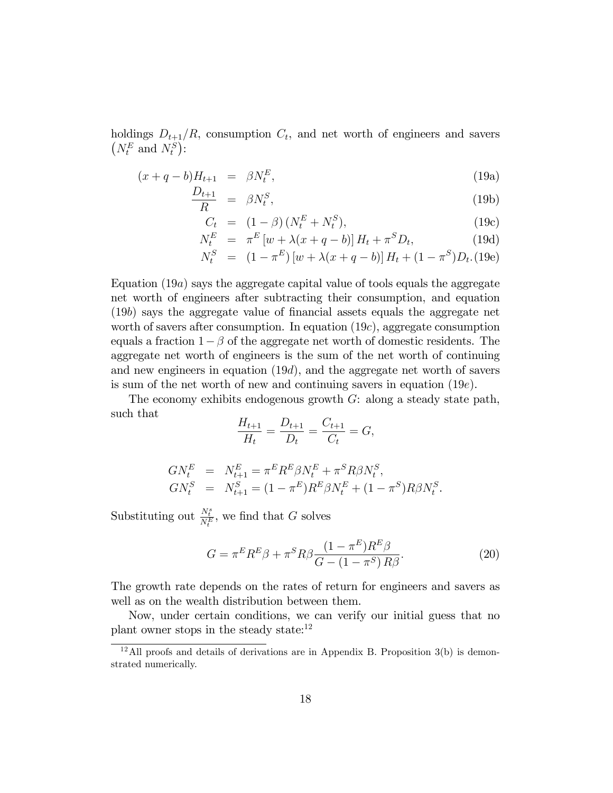holdings  $D_{t+1}/R$ , consumption  $C_t$ , and net worth of engineers and savers  $(N_t^E \text{ and } N_t^S)$ :

$$
(x+q-b)H_{t+1} = \beta N_t^E, \qquad (19a)
$$

$$
\frac{D_{t+1}}{R} = \beta N_t^S, \tag{19b}
$$

$$
C_t = (1 - \beta) (N_t^E + N_t^S), \tag{19c}
$$

$$
N_t^E = \pi^E \left[ w + \lambda (x + q - b) \right] H_t + \pi^S D_t, \tag{19d}
$$

$$
N_t^S = (1 - \pi^E) [w + \lambda (x + q - b)] H_t + (1 - \pi^S) D_t. (19e)
$$

Equation  $(19a)$  says the aggregate capital value of tools equals the aggregate net worth of engineers after subtracting their consumption, and equation (19b) says the aggregate value of Önancial assets equals the aggregate net worth of savers after consumption. In equation  $(19c)$ , aggregate consumption equals a fraction  $1 - \beta$  of the aggregate net worth of domestic residents. The aggregate net worth of engineers is the sum of the net worth of continuing and new engineers in equation (19d), and the aggregate net worth of savers is sum of the net worth of new and continuing savers in equation (19e).

The economy exhibits endogenous growth  $G$ : along a steady state path, such that

$$
\frac{H_{t+1}}{H_t} = \frac{D_{t+1}}{D_t} = \frac{C_{t+1}}{C_t} = G,
$$

$$
GN_t^E = N_{t+1}^E = \pi^E R^E \beta N_t^E + \pi^S R \beta N_t^S,
$$
  
\n
$$
GN_t^S = N_{t+1}^S = (1 - \pi^E) R^E \beta N_t^E + (1 - \pi^S) R \beta N_t^S.
$$

Substituting out  $\frac{N_t^s}{N_t^E}$ , we find that G solves

$$
G = \pi^E R^E \beta + \pi^S R \beta \frac{(1 - \pi^E) R^E \beta}{G - (1 - \pi^S) R \beta}.
$$
\n
$$
(20)
$$

The growth rate depends on the rates of return for engineers and savers as well as on the wealth distribution between them.

Now, under certain conditions, we can verify our initial guess that no plant owner stops in the steady state:<sup>12</sup>

 $12$ All proofs and details of derivations are in Appendix B. Proposition 3(b) is demonstrated numerically.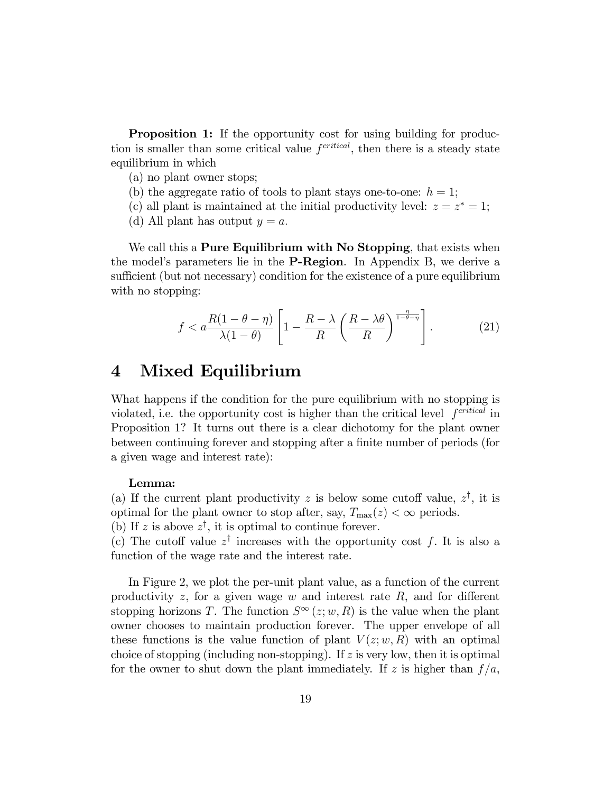**Proposition 1:** If the opportunity cost for using building for production is smaller than some critical value  $f<sup>critical</sup>$ , then there is a steady state equilibrium in which

- (a) no plant owner stops;
- (b) the aggregate ratio of tools to plant stays one-to-one:  $h = 1$ ;
- (c) all plant is maintained at the initial productivity level:  $z = z^* = 1$ ;
- (d) All plant has output  $y = a$ .

We call this a **Pure Equilibrium with No Stopping**, that exists when the model's parameters lie in the **P-Region**. In Appendix B, we derive a sufficient (but not necessary) condition for the existence of a pure equilibrium with no stopping:

$$
f < a \frac{R(1 - \theta - \eta)}{\lambda(1 - \theta)} \left[ 1 - \frac{R - \lambda}{R} \left( \frac{R - \lambda \theta}{R} \right)^{\frac{\eta}{1 - \theta - \eta}} \right].
$$
 (21)

## 4 Mixed Equilibrium

What happens if the condition for the pure equilibrium with no stopping is violated, i.e. the opportunity cost is higher than the critical level  $f<sup>critical</sup>$  in Proposition 1? It turns out there is a clear dichotomy for the plant owner between continuing forever and stopping after a finite number of periods (for a given wage and interest rate):

### Lemma:

(a) If the current plant productivity z is below some cutoff value,  $z^{\dagger}$ , it is optimal for the plant owner to stop after, say,  $T_{\text{max}}(z) < \infty$  periods.

(b) If z is above  $z^{\dagger}$ , it is optimal to continue forever.

(c) The cutoff value  $z^{\dagger}$  increases with the opportunity cost f. It is also a function of the wage rate and the interest rate.

In Figure 2, we plot the per-unit plant value, as a function of the current productivity  $z$ , for a given wage  $w$  and interest rate  $R$ , and for different stopping horizons T. The function  $S^{\infty}(z;w,R)$  is the value when the plant owner chooses to maintain production forever. The upper envelope of all these functions is the value function of plant  $V(z; w, R)$  with an optimal choice of stopping (including non-stopping). If  $z$  is very low, then it is optimal for the owner to shut down the plant immediately. If z is higher than  $f/a$ ,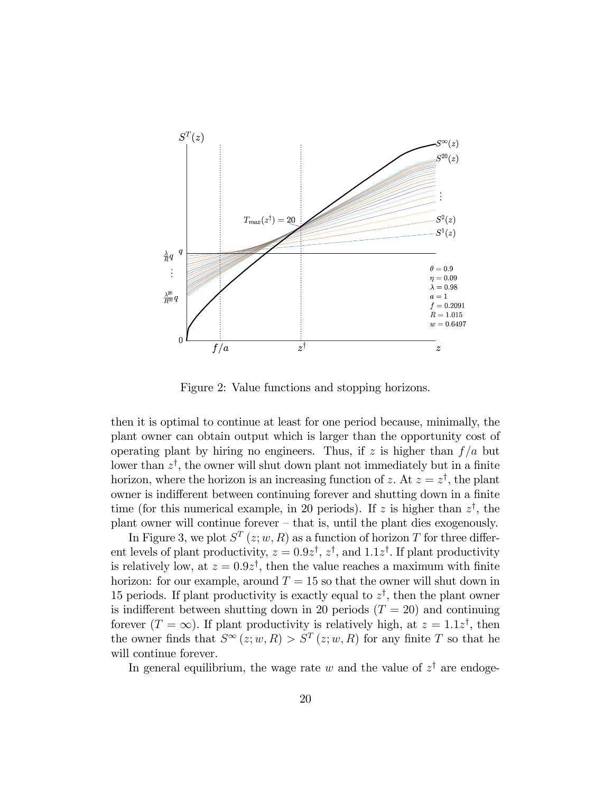

Figure 2: Value functions and stopping horizons.

then it is optimal to continue at least for one period because, minimally, the plant owner can obtain output which is larger than the opportunity cost of operating plant by hiring no engineers. Thus, if z is higher than  $f/a$  but lower than  $z^{\dagger}$ , the owner will shut down plant not immediately but in a finite horizon, where the horizon is an increasing function of z. At  $z = z^{\dagger}$ , the plant owner is indifferent between continuing forever and shutting down in a finite time (for this numerical example, in 20 periods). If z is higher than  $z^{\dagger}$ , the plant owner will continue forever  $-$  that is, until the plant dies exogenously.

In Figure 3, we plot  $S^T(z; w, R)$  as a function of horizon T for three different levels of plant productivity,  $z = 0.9z^{\dagger}, z^{\dagger}$ , and  $1.1z^{\dagger}$ . If plant productivity is relatively low, at  $z = 0.9z^{\dagger}$ , then the value reaches a maximum with finite horizon: for our example, around  $T = 15$  so that the owner will shut down in 15 periods. If plant productivity is exactly equal to  $z^{\dagger}$ , then the plant owner is indifferent between shutting down in 20 periods  $(T = 20)$  and continuing forever  $(T = \infty)$ . If plant productivity is relatively high, at  $z = 1.1z^{\dagger}$ , then the owner finds that  $S^{\infty}(z;w,R) > S^{T}(z;w,R)$  for any finite T so that he will continue forever.

In general equilibrium, the wage rate w and the value of  $z^{\dagger}$  are endoge-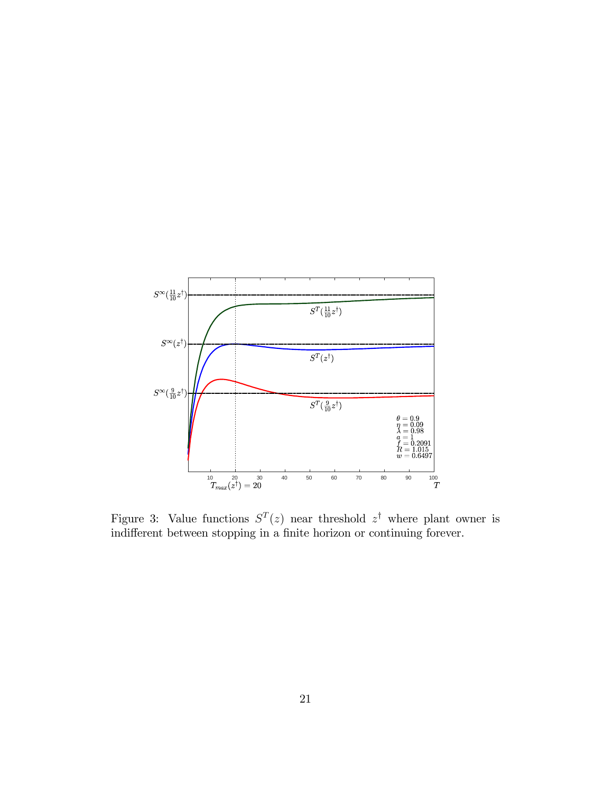

Figure 3: Value functions  $S<sup>T</sup>(z)$  near threshold  $z<sup>\dagger</sup>$  where plant owner is indifferent between stopping in a finite horizon or continuing forever.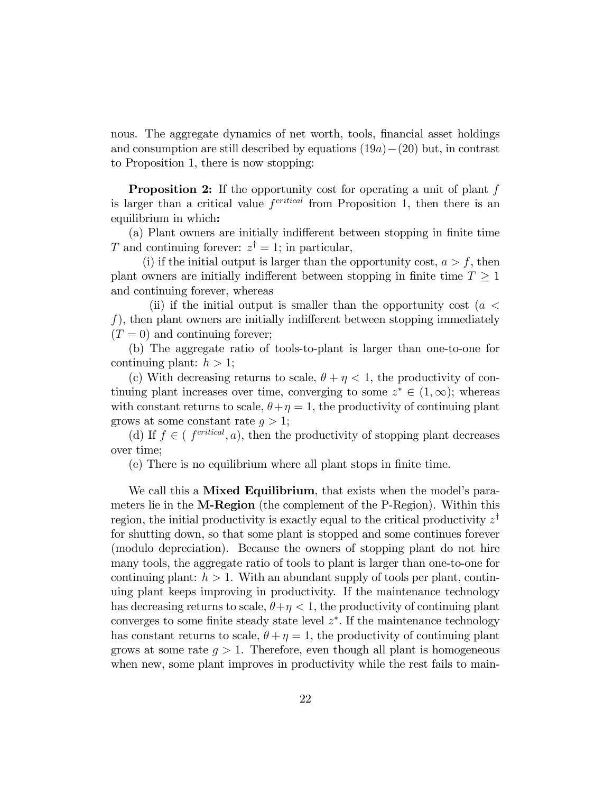nous. The aggregate dynamics of net worth, tools, financial asset holdings and consumption are still described by equations  $(19a)-(20)$  but, in contrast to Proposition 1, there is now stopping:

**Proposition 2:** If the opportunity cost for operating a unit of plant f is larger than a critical value  $f<sup>critical</sup>$  from Proposition 1, then there is an equilibrium in which:

(a) Plant owners are initially indifferent between stopping in finite time T and continuing forever:  $z^{\dagger} = 1$ ; in particular,

(i) if the initial output is larger than the opportunity cost,  $a > f$ , then plant owners are initially indifferent between stopping in finite time  $T \geq 1$ and continuing forever, whereas

(ii) if the initial output is smaller than the opportunity cost ( $a <$ f), then plant owners are initially indifferent between stopping immediately  $(T = 0)$  and continuing forever;

(b) The aggregate ratio of tools-to-plant is larger than one-to-one for continuing plant:  $h > 1$ ;

(c) With decreasing returns to scale,  $\theta + \eta < 1$ , the productivity of continuing plant increases over time, converging to some  $z^* \in (1,\infty)$ ; whereas with constant returns to scale,  $\theta + \eta = 1$ , the productivity of continuing plant grows at some constant rate  $q > 1$ ;

(d) If  $f \in (f^{critical}, a)$ , then the productivity of stopping plant decreases over time;

(e) There is no equilibrium where all plant stops in Önite time.

We call this a **Mixed Equilibrium**, that exists when the model's parameters lie in the M-Region (the complement of the P-Region). Within this region, the initial productivity is exactly equal to the critical productivity  $z^{\dagger}$ for shutting down, so that some plant is stopped and some continues forever (modulo depreciation). Because the owners of stopping plant do not hire many tools, the aggregate ratio of tools to plant is larger than one-to-one for continuing plant:  $h > 1$ . With an abundant supply of tools per plant, continuing plant keeps improving in productivity. If the maintenance technology has decreasing returns to scale,  $\theta + \eta < 1$ , the productivity of continuing plant converges to some finite steady state level  $z^*$ . If the maintenance technology has constant returns to scale,  $\theta + \eta = 1$ , the productivity of continuing plant grows at some rate  $q > 1$ . Therefore, even though all plant is homogeneous when new, some plant improves in productivity while the rest fails to main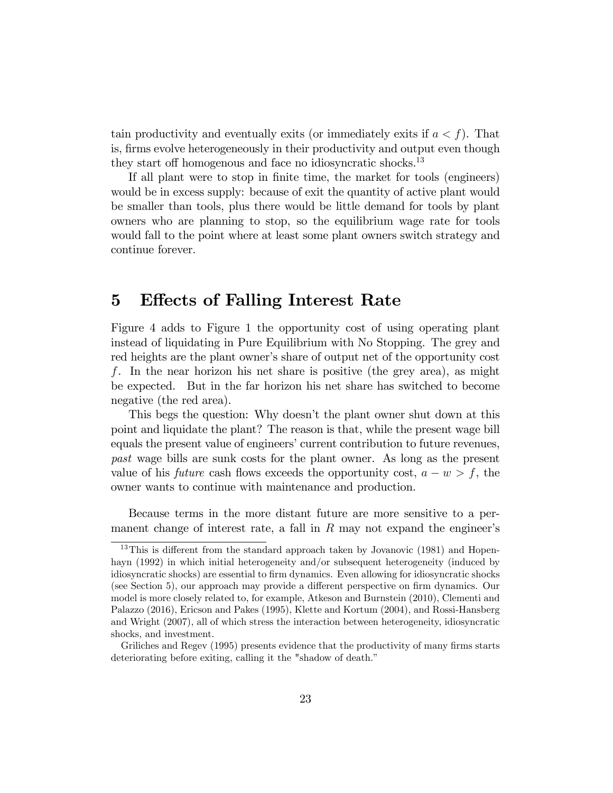tain productivity and eventually exits (or immediately exits if  $a < f$ ). That is, firms evolve heterogeneously in their productivity and output even though they start off homogenous and face no idiosyncratic shocks.<sup>13</sup>

If all plant were to stop in finite time, the market for tools (engineers) would be in excess supply: because of exit the quantity of active plant would be smaller than tools, plus there would be little demand for tools by plant owners who are planning to stop, so the equilibrium wage rate for tools would fall to the point where at least some plant owners switch strategy and continue forever.

## 5 Effects of Falling Interest Rate

Figure 4 adds to Figure 1 the opportunity cost of using operating plant instead of liquidating in Pure Equilibrium with No Stopping. The grey and red heights are the plant owner's share of output net of the opportunity cost f. In the near horizon his net share is positive (the grey area), as might be expected. But in the far horizon his net share has switched to become negative (the red area).

This begs the question: Why doesn't the plant owner shut down at this point and liquidate the plant? The reason is that, while the present wage bill equals the present value of engineers' current contribution to future revenues, past wage bills are sunk costs for the plant owner. As long as the present value of his *future* cash flows exceeds the opportunity cost,  $a - w > f$ , the owner wants to continue with maintenance and production.

Because terms in the more distant future are more sensitive to a permanent change of interest rate, a fall in  $R$  may not expand the engineer's

<sup>&</sup>lt;sup>13</sup>This is different from the standard approach taken by Jovanovic (1981) and Hopenhayn (1992) in which initial heterogeneity and/or subsequent heterogeneity (induced by idiosyncratic shocks) are essential to firm dynamics. Even allowing for idiosyncratic shocks (see Section 5), our approach may provide a different perspective on firm dynamics. Our model is more closely related to, for example, Atkeson and Burnstein (2010), Clementi and Palazzo (2016), Ericson and Pakes (1995), Klette and Kortum (2004), and Rossi-Hansberg and Wright (2007), all of which stress the interaction between heterogeneity, idiosyncratic shocks, and investment.

Griliches and Regev (1995) presents evidence that the productivity of many firms starts deteriorating before exiting, calling it the "shadow of death."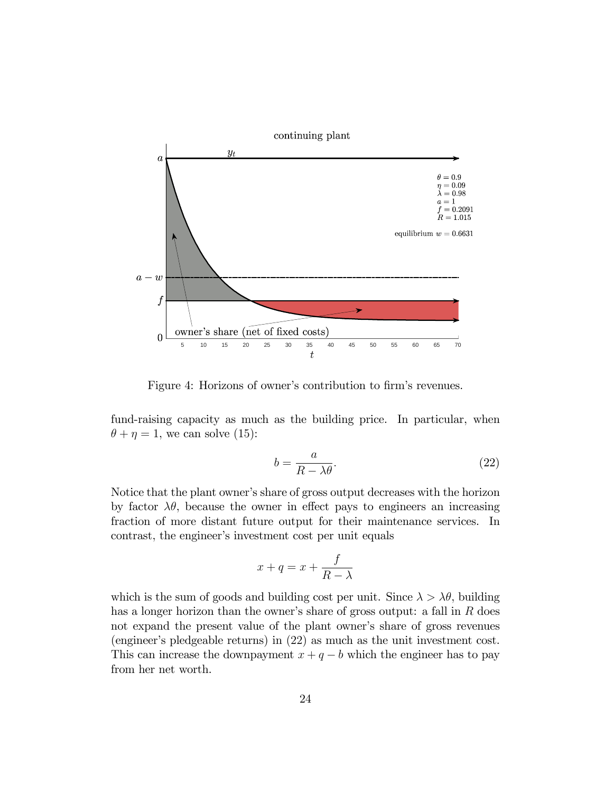

Figure 4: Horizons of owner's contribution to firm's revenues.

fund-raising capacity as much as the building price. In particular, when  $\theta + \eta = 1$ , we can solve (15):

$$
b = \frac{a}{R - \lambda \theta}.\tag{22}
$$

Notice that the plant owner's share of gross output decreases with the horizon by factor  $\lambda\theta$ , because the owner in effect pays to engineers an increasing fraction of more distant future output for their maintenance services. In contrast, the engineer's investment cost per unit equals

$$
x + q = x + \frac{f}{R - \lambda}
$$

which is the sum of goods and building cost per unit. Since  $\lambda > \lambda \theta$ , building has a longer horizon than the owner's share of gross output: a fall in  $R$  does not expand the present value of the plant owner's share of gross revenues (engineer's pledgeable returns) in (22) as much as the unit investment cost. This can increase the downpayment  $x + q - b$  which the engineer has to pay from her net worth.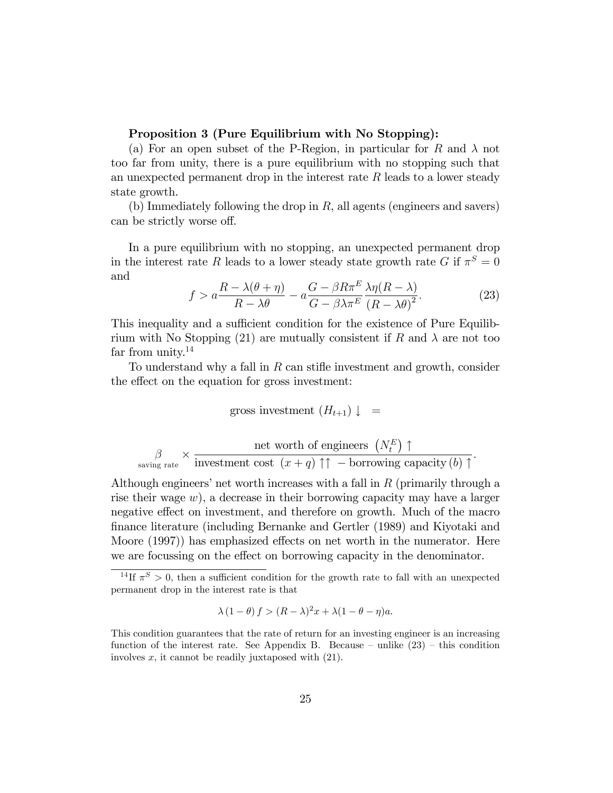### Proposition 3 (Pure Equilibrium with No Stopping):

(a) For an open subset of the P-Region, in particular for R and  $\lambda$  not too far from unity, there is a pure equilibrium with no stopping such that an unexpected permanent drop in the interest rate  $R$  leads to a lower steady state growth.

(b) Immediately following the drop in  $R$ , all agents (engineers and savers) can be strictly worse off.

In a pure equilibrium with no stopping, an unexpected permanent drop in the interest rate R leads to a lower steady state growth rate  $G$  if  $\pi^S = 0$ and

$$
f > a \frac{R - \lambda(\theta + \eta)}{R - \lambda \theta} - a \frac{G - \beta R \pi^E}{G - \beta \lambda \pi^E} \frac{\lambda \eta(R - \lambda)}{(R - \lambda \theta)^2}.
$$
 (23)

:

This inequality and a sufficient condition for the existence of Pure Equilibrium with No Stopping (21) are mutually consistent if R and  $\lambda$  are not too far from unity. $14$ 

To understand why a fall in  $R$  can stiffe investment and growth, consider the effect on the equation for gross investment:

gross investment 
$$
(H_{t+1}) \downarrow =
$$

$$
\beta \times \frac{\text{net worth of engineers } (N_t^E) \uparrow}{\text{investment cost } (x + q) \uparrow \uparrow - \text{ borrowing capacity } (b) \uparrow}
$$

Although engineers' net worth increases with a fall in  $R$  (primarily through a rise their wage  $w$ ), a decrease in their borrowing capacity may have a larger negative effect on investment, and therefore on growth. Much of the macro Önance literature (including Bernanke and Gertler (1989) and Kiyotaki and Moore  $(1997)$  has emphasized effects on net worth in the numerator. Here we are focussing on the effect on borrowing capacity in the denominator.

$$
\lambda (1 - \theta) f > (R - \lambda)^2 x + \lambda (1 - \theta - \eta) a.
$$

<sup>&</sup>lt;sup>14</sup>If  $\pi^{S} > 0$ , then a sufficient condition for the growth rate to fall with an unexpected permanent drop in the interest rate is that

This condition guarantees that the rate of return for an investing engineer is an increasing function of the interest rate. See Appendix B. Because – unlike  $(23)$  – this condition involves  $x$ , it cannot be readily juxtaposed with  $(21)$ .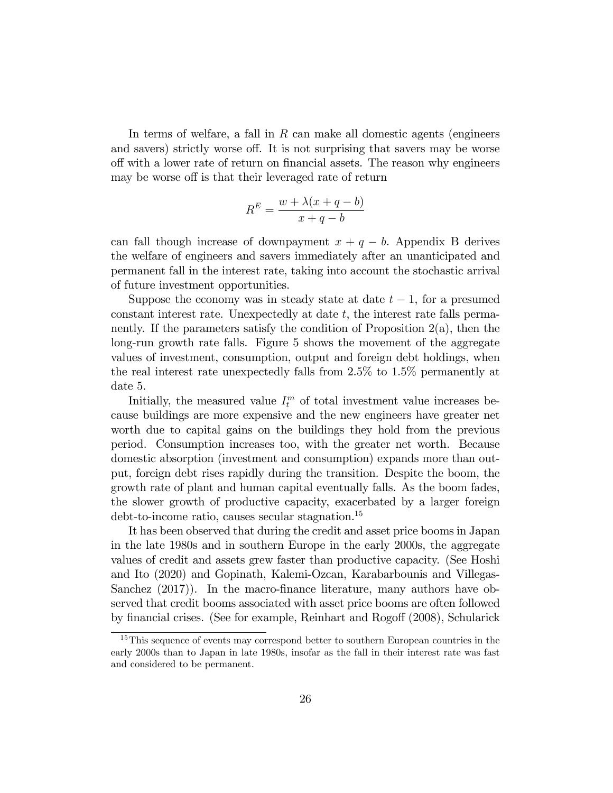In terms of welfare, a fall in  $R$  can make all domestic agents (engineers) and savers) strictly worse off. It is not surprising that savers may be worse off with a lower rate of return on financial assets. The reason why engineers may be worse off is that their leveraged rate of return

$$
R^{E} = \frac{w + \lambda(x + q - b)}{x + q - b}
$$

can fall though increase of downpayment  $x + q - b$ . Appendix B derives the welfare of engineers and savers immediately after an unanticipated and permanent fall in the interest rate, taking into account the stochastic arrival of future investment opportunities.

Suppose the economy was in steady state at date  $t-1$ , for a presumed constant interest rate. Unexpectedly at date  $t$ , the interest rate falls permanently. If the parameters satisfy the condition of Proposition 2(a), then the long-run growth rate falls. Figure 5 shows the movement of the aggregate values of investment, consumption, output and foreign debt holdings, when the real interest rate unexpectedly falls from 2.5% to 1.5% permanently at date 5.

Initially, the measured value  $I_t^m$  of total investment value increases because buildings are more expensive and the new engineers have greater net worth due to capital gains on the buildings they hold from the previous period. Consumption increases too, with the greater net worth. Because domestic absorption (investment and consumption) expands more than output, foreign debt rises rapidly during the transition. Despite the boom, the growth rate of plant and human capital eventually falls. As the boom fades, the slower growth of productive capacity, exacerbated by a larger foreign debt-to-income ratio, causes secular stagnation.<sup>15</sup>

It has been observed that during the credit and asset price booms in Japan in the late 1980s and in southern Europe in the early 2000s, the aggregate values of credit and assets grew faster than productive capacity. (See Hoshi and Ito (2020) and Gopinath, Kalemi-Ozcan, Karabarbounis and Villegas-Sanchez  $(2017)$ ). In the macro-finance literature, many authors have observed that credit booms associated with asset price booms are often followed by financial crises. (See for example, Reinhart and Rogoff (2008), Schularick

<sup>&</sup>lt;sup>15</sup>This sequence of events may correspond better to southern European countries in the early 2000s than to Japan in late 1980s, insofar as the fall in their interest rate was fast and considered to be permanent.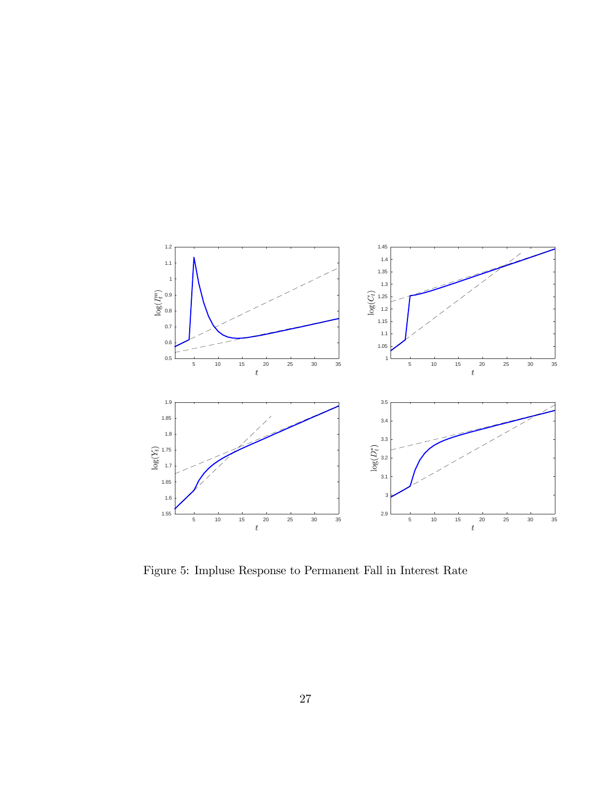

Figure 5: Impluse Response to Permanent Fall in Interest Rate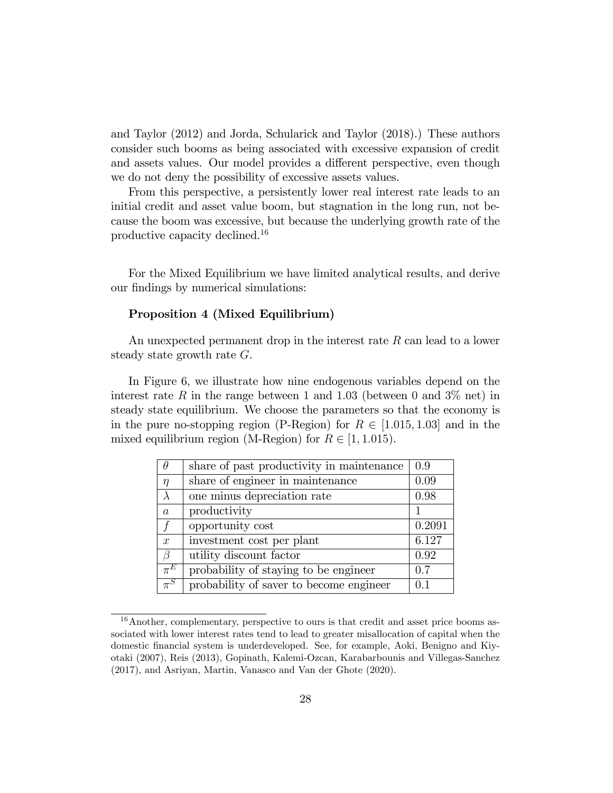and Taylor (2012) and Jorda, Schularick and Taylor (2018).) These authors consider such booms as being associated with excessive expansion of credit and assets values. Our model provides a different perspective, even though we do not deny the possibility of excessive assets values.

From this perspective, a persistently lower real interest rate leads to an initial credit and asset value boom, but stagnation in the long run, not because the boom was excessive, but because the underlying growth rate of the productive capacity declined.<sup>16</sup>

For the Mixed Equilibrium we have limited analytical results, and derive our findings by numerical simulations:

### Proposition 4 (Mixed Equilibrium)

An unexpected permanent drop in the interest rate  $R$  can lead to a lower steady state growth rate G.

In Figure 6, we illustrate how nine endogenous variables depend on the interest rate R in the range between 1 and 1.03 (between 0 and  $3\%$  net) in steady state equilibrium. We choose the parameters so that the economy is in the pure no-stopping region (P-Region) for  $R \in [1.015, 1.03]$  and in the mixed equilibrium region (M-Region) for  $R \in [1, 1.015)$ .

| $\theta$       | share of past productivity in maintenance | 0.9    |
|----------------|-------------------------------------------|--------|
| $\eta$         | share of engineer in maintenance          | 0.09   |
| $\lambda$      | one minus depreciation rate               | 0.98   |
| $\overline{a}$ | productivity                              |        |
| $\int$         | opportunity cost                          | 0.2091 |
| $\mathcal{X}$  | investment cost per plant                 | 6.127  |
| β              | utility discount factor                   | 0.92   |
| $\pi^E$        | probability of staying to be engineer     | 0.7    |
| $\pi^S$        | probability of saver to become engineer   | 0.1    |

<sup>&</sup>lt;sup>16</sup> Another, complementary, perspective to ours is that credit and asset price booms associated with lower interest rates tend to lead to greater misallocation of capital when the domestic Önancial system is underdeveloped. See, for example, Aoki, Benigno and Kiyotaki (2007), Reis (2013), Gopinath, Kalemi-Ozcan, Karabarbounis and Villegas-Sanchez (2017), and Asriyan, Martin, Vanasco and Van der Ghote (2020).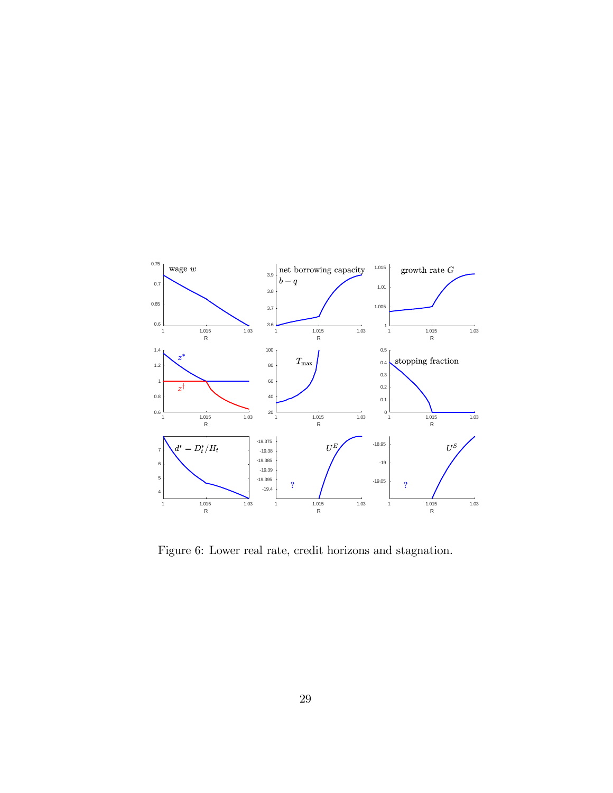

Figure 6: Lower real rate, credit horizons and stagnation.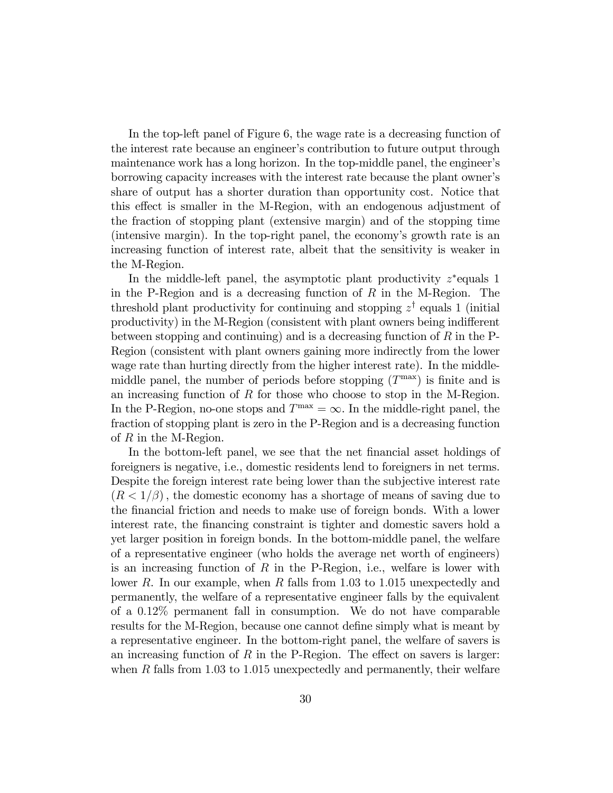In the top-left panel of Figure 6, the wage rate is a decreasing function of the interest rate because an engineerís contribution to future output through maintenance work has a long horizon. In the top-middle panel, the engineer's borrowing capacity increases with the interest rate because the plant ownerís share of output has a shorter duration than opportunity cost. Notice that this effect is smaller in the M-Region, with an endogenous adjustment of the fraction of stopping plant (extensive margin) and of the stopping time (intensive margin). In the top-right panel, the economyís growth rate is an increasing function of interest rate, albeit that the sensitivity is weaker in the M-Region.

In the middle-left panel, the asymptotic plant productivity  $z^*$  equals 1 in the P-Region and is a decreasing function of  $R$  in the M-Region. The threshold plant productivity for continuing and stopping  $z^{\dagger}$  equals 1 (initial productivity) in the M-Region (consistent with plant owners being indifferent between stopping and continuing) and is a decreasing function of  $R$  in the P-Region (consistent with plant owners gaining more indirectly from the lower wage rate than hurting directly from the higher interest rate). In the middlemiddle panel, the number of periods before stopping  $(T<sup>max</sup>)$  is finite and is an increasing function of R for those who choose to stop in the M-Region. In the P-Region, no-one stops and  $T^{\max} = \infty$ . In the middle-right panel, the fraction of stopping plant is zero in the P-Region and is a decreasing function of  $R$  in the M-Region.

In the bottom-left panel, we see that the net financial asset holdings of foreigners is negative, i.e., domestic residents lend to foreigners in net terms. Despite the foreign interest rate being lower than the subjective interest rate  $(R<1/\beta)$ , the domestic economy has a shortage of means of saving due to the financial friction and needs to make use of foreign bonds. With a lower interest rate, the Önancing constraint is tighter and domestic savers hold a yet larger position in foreign bonds. In the bottom-middle panel, the welfare of a representative engineer (who holds the average net worth of engineers) is an increasing function of R in the P-Region, i.e., welfare is lower with lower R. In our example, when R falls from 1.03 to 1.015 unexpectedly and permanently, the welfare of a representative engineer falls by the equivalent of a  $0.12\%$  permanent fall in consumption. We do not have comparable results for the M-Region, because one cannot define simply what is meant by a representative engineer. In the bottom-right panel, the welfare of savers is an increasing function of  $R$  in the P-Region. The effect on savers is larger: when R falls from 1.03 to 1.015 unexpectedly and permanently, their welfare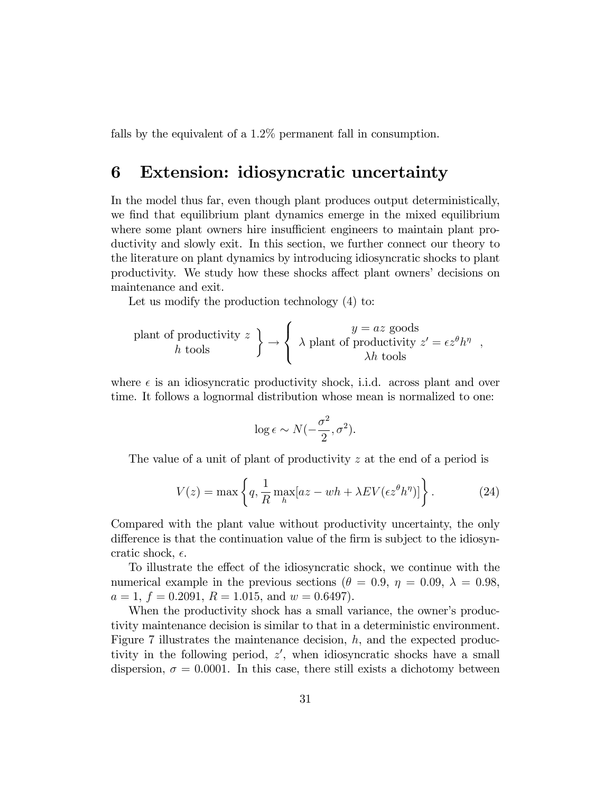falls by the equivalent of a 1.2\% permanent fall in consumption.

## 6 Extension: idiosyncratic uncertainty

In the model thus far, even though plant produces output deterministically, we find that equilibrium plant dynamics emerge in the mixed equilibrium where some plant owners hire insufficient engineers to maintain plant productivity and slowly exit. In this section, we further connect our theory to the literature on plant dynamics by introducing idiosyncratic shocks to plant productivity. We study how these shocks affect plant owners' decisions on maintenance and exit.

Let us modify the production technology (4) to:

$$
\text{plant of productivity } z \begin{cases} y = az \text{ goods} \\ \lambda \text{ plant of productivity } z' = \epsilon z^{\theta} h^{\eta} \end{cases}
$$

where  $\epsilon$  is an idiosyncratic productivity shock, i.i.d. across plant and over time. It follows a lognormal distribution whose mean is normalized to one:

$$
\log \epsilon \sim N(-\frac{\sigma^2}{2}, \sigma^2).
$$

The value of a unit of plant of productivity z at the end of a period is

$$
V(z) = \max\left\{q, \frac{1}{R} \max_{h} [az - wh + \lambda EV(\epsilon z^{\theta} h^{\eta})]\right\}.
$$
 (24)

Compared with the plant value without productivity uncertainty, the only difference is that the continuation value of the firm is subject to the idiosyncratic shock,  $\epsilon$ .

To illustrate the effect of the idiosyncratic shock, we continue with the numerical example in the previous sections ( $\theta = 0.9, \eta = 0.09, \lambda = 0.98$ ,  $a = 1, f = 0.2091, R = 1.015, \text{ and } w = 0.6497$ .

When the productivity shock has a small variance, the owner's productivity maintenance decision is similar to that in a deterministic environment. Figure 7 illustrates the maintenance decision,  $h$ , and the expected productivity in the following period,  $z'$ , when idiosyncratic shocks have a small dispersion,  $\sigma = 0.0001$ . In this case, there still exists a dichotomy between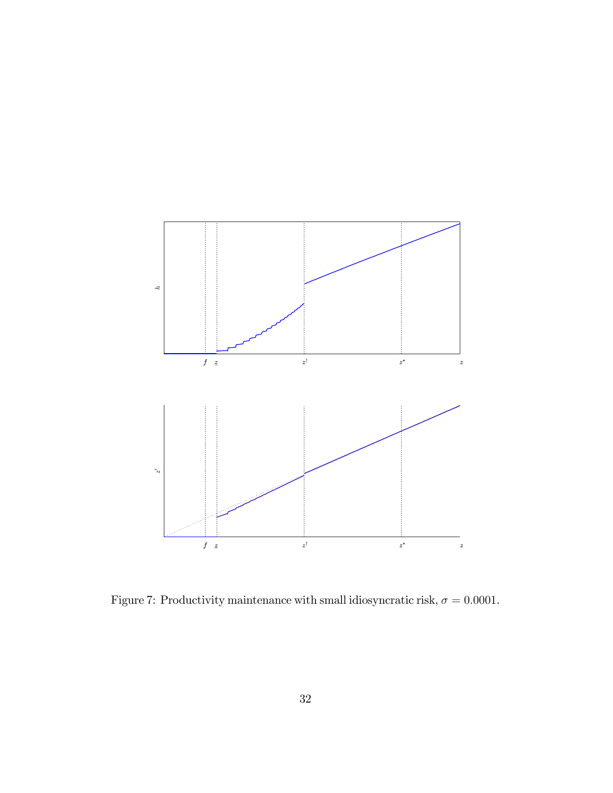

Figure 7: Productivity maintenance with small idiosyncratic risk,  $\sigma = 0.0001$ .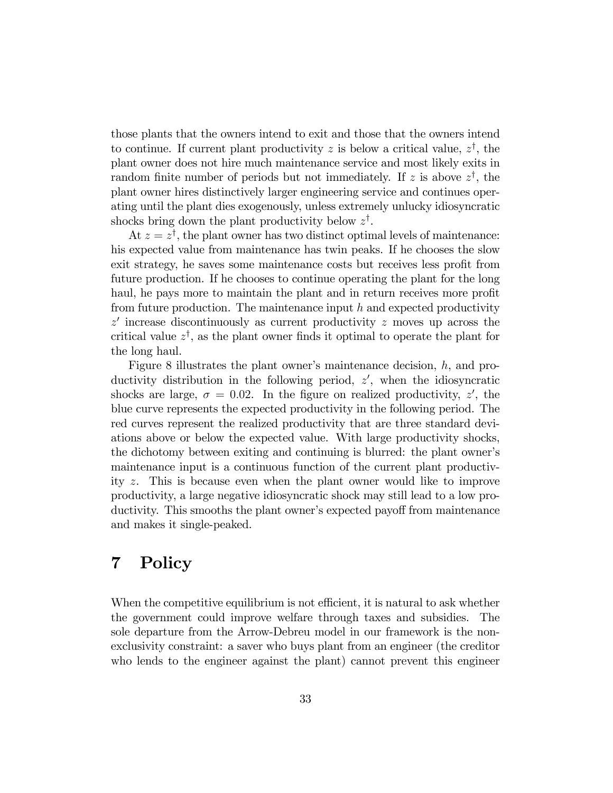those plants that the owners intend to exit and those that the owners intend to continue. If current plant productivity z is below a critical value,  $z^{\dagger}$ , the plant owner does not hire much maintenance service and most likely exits in random finite number of periods but not immediately. If z is above  $z^{\dagger}$ , the plant owner hires distinctively larger engineering service and continues operating until the plant dies exogenously, unless extremely unlucky idiosyncratic shocks bring down the plant productivity below  $z^{\dagger}$ .

At  $z = z^{\dagger}$ , the plant owner has two distinct optimal levels of maintenance: his expected value from maintenance has twin peaks. If he chooses the slow exit strategy, he saves some maintenance costs but receives less profit from future production. If he chooses to continue operating the plant for the long haul, he pays more to maintain the plant and in return receives more profit from future production. The maintenance input  $h$  and expected productivity  $z'$  increase discontinuously as current productivity  $z$  moves up across the critical value  $z^{\dagger}$ , as the plant owner finds it optimal to operate the plant for the long haul.

Figure 8 illustrates the plant owner's maintenance decision,  $h$ , and productivity distribution in the following period,  $z'$ , when the idiosyncratic shocks are large,  $\sigma = 0.02$ . In the figure on realized productivity, z', the blue curve represents the expected productivity in the following period. The red curves represent the realized productivity that are three standard deviations above or below the expected value. With large productivity shocks, the dichotomy between exiting and continuing is blurred: the plant ownerís maintenance input is a continuous function of the current plant productivity z. This is because even when the plant owner would like to improve productivity, a large negative idiosyncratic shock may still lead to a low productivity. This smooths the plant owner's expected payoff from maintenance and makes it single-peaked.

## 7 Policy

When the competitive equilibrium is not efficient, it is natural to ask whether the government could improve welfare through taxes and subsidies. The sole departure from the Arrow-Debreu model in our framework is the nonexclusivity constraint: a saver who buys plant from an engineer (the creditor who lends to the engineer against the plant) cannot prevent this engineer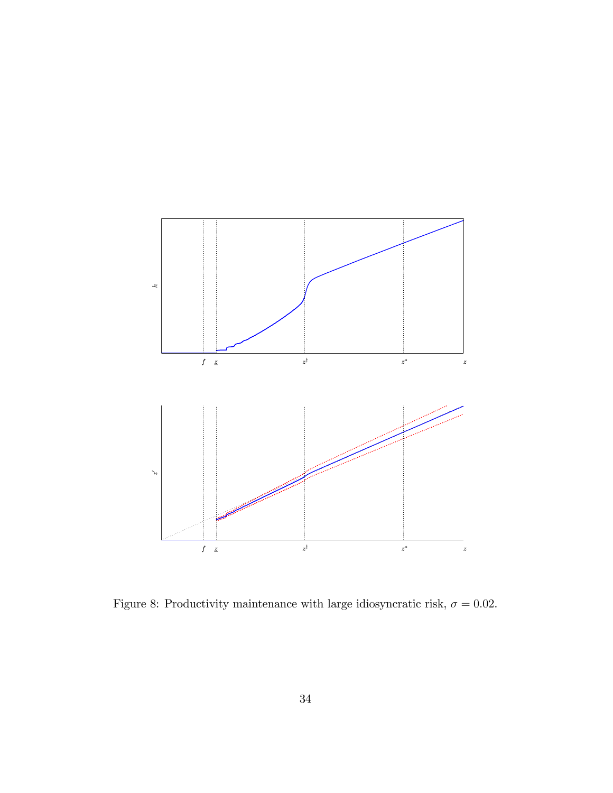

Figure 8: Productivity maintenance with large idiosyncratic risk,  $\sigma = 0.02$ .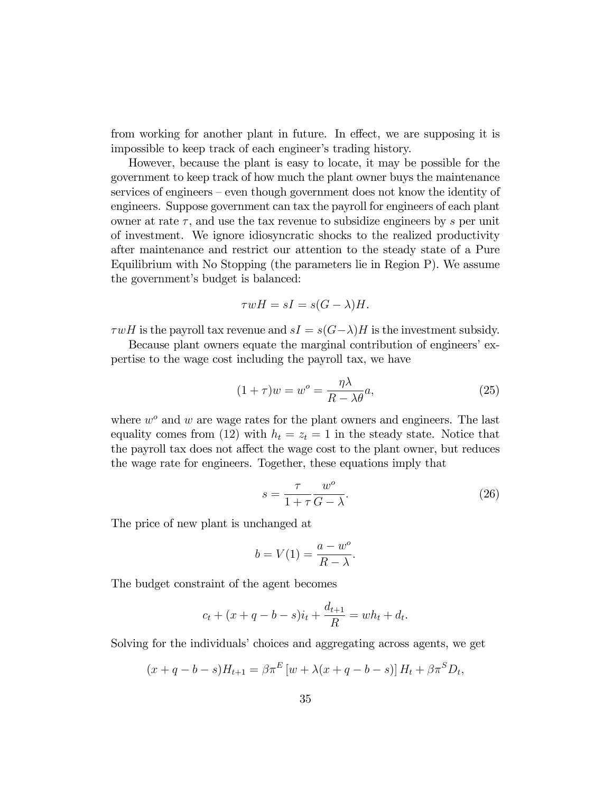from working for another plant in future. In effect, we are supposing it is impossible to keep track of each engineer's trading history.

However, because the plant is easy to locate, it may be possible for the government to keep track of how much the plant owner buys the maintenance services of engineers – even though government does not know the identity of engineers. Suppose government can tax the payroll for engineers of each plant owner at rate  $\tau$ , and use the tax revenue to subsidize engineers by s per unit of investment. We ignore idiosyncratic shocks to the realized productivity after maintenance and restrict our attention to the steady state of a Pure Equilibrium with No Stopping (the parameters lie in Region P). We assume the government's budget is balanced:

$$
\tau wH = sI = s(G - \lambda)H.
$$

 $\tau wH$  is the payroll tax revenue and  $sI = s(G-\lambda)H$  is the investment subsidy.

Because plant owners equate the marginal contribution of engineers' expertise to the wage cost including the payroll tax, we have

$$
(1+\tau)w = w^o = \frac{\eta \lambda}{R - \lambda \theta}a,\tag{25}
$$

where  $w^o$  and  $w$  are wage rates for the plant owners and engineers. The last equality comes from (12) with  $h_t = z_t = 1$  in the steady state. Notice that the payroll tax does not affect the wage cost to the plant owner, but reduces the wage rate for engineers. Together, these equations imply that

$$
s = \frac{\tau}{1 + \tau} \frac{w^o}{G - \lambda}.
$$
\n(26)

The price of new plant is unchanged at

$$
b = V(1) = \frac{a - w^o}{R - \lambda}.
$$

The budget constraint of the agent becomes

$$
c_t + (x + q - b - s)i_t + \frac{d_{t+1}}{R} = wh_t + d_t.
$$

Solving for the individuals' choices and aggregating across agents, we get

$$
(x + q - b - s)H_{t+1} = \beta \pi^{E} [w + \lambda (x + q - b - s)] H_{t} + \beta \pi^{S} D_{t},
$$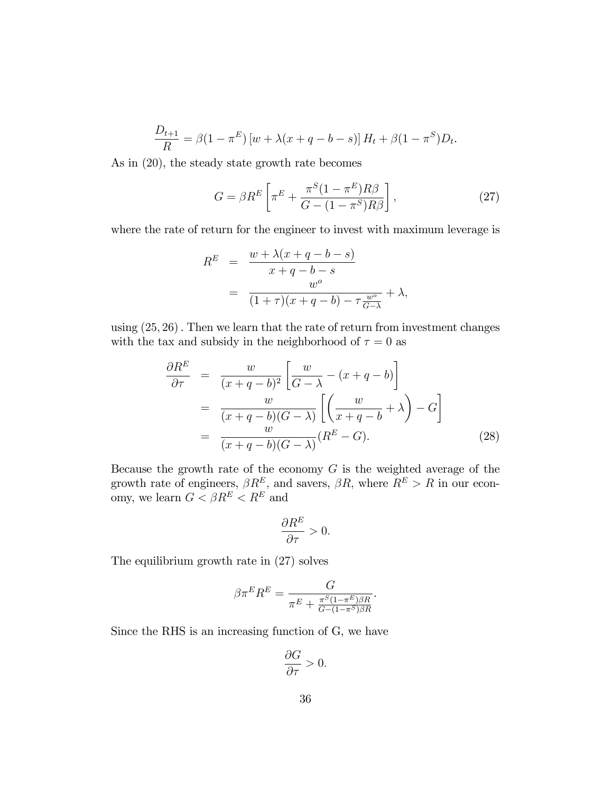$$
\frac{D_{t+1}}{R} = \beta(1 - \pi^E) [w + \lambda(x + q - b - s)] H_t + \beta(1 - \pi^S) D_t.
$$

As in (20), the steady state growth rate becomes

$$
G = \beta R^{E} \left[ \pi^{E} + \frac{\pi^{S} (1 - \pi^{E}) R \beta}{G - (1 - \pi^{S}) R \beta} \right],
$$
\n(27)

where the rate of return for the engineer to invest with maximum leverage is

$$
R^{E} = \frac{w + \lambda(x + q - b - s)}{x + q - b - s}
$$
  
= 
$$
\frac{w^o}{(1 + \tau)(x + q - b) - \tau \frac{w^o}{G - \lambda}} + \lambda,
$$

using  $(25, 26)$ . Then we learn that the rate of return from investment changes with the tax and subsidy in the neighborhood of  $\tau = 0$  as

$$
\frac{\partial R^E}{\partial \tau} = \frac{w}{(x+q-b)^2} \left[ \frac{w}{G-\lambda} - (x+q-b) \right]
$$

$$
= \frac{w}{(x+q-b)(G-\lambda)} \left[ \left( \frac{w}{x+q-b} + \lambda \right) - G \right]
$$

$$
= \frac{w}{(x+q-b)(G-\lambda)} (R^E - G).
$$
(28)

Because the growth rate of the economy  $G$  is the weighted average of the growth rate of engineers,  $\beta R^E$ , and savers,  $\beta R$ , where  $R^E > R$  in our economy, we learn  $G < \beta R^{E} < R^{E}$  and

$$
\frac{\partial R^E}{\partial \tau}>0.
$$

The equilibrium growth rate in (27) solves

$$
\beta \pi^E R^E = \frac{G}{\pi^E + \frac{\pi^S (1 - \pi^E)\beta R}{G - (1 - \pi^S)\beta R}}.
$$

Since the RHS is an increasing function of G, we have

$$
\frac{\partial G}{\partial \tau} > 0.
$$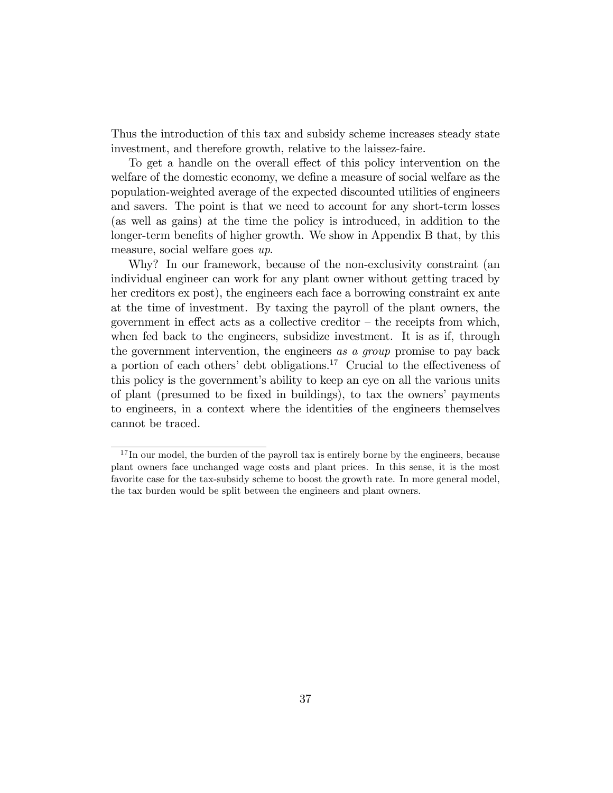Thus the introduction of this tax and subsidy scheme increases steady state investment, and therefore growth, relative to the laissez-faire.

To get a handle on the overall effect of this policy intervention on the welfare of the domestic economy, we define a measure of social welfare as the population-weighted average of the expected discounted utilities of engineers and savers. The point is that we need to account for any short-term losses (as well as gains) at the time the policy is introduced, in addition to the longer-term benefits of higher growth. We show in Appendix B that, by this measure, social welfare goes up.

Why? In our framework, because of the non-exclusivity constraint (an individual engineer can work for any plant owner without getting traced by her creditors ex post), the engineers each face a borrowing constraint ex ante at the time of investment. By taxing the payroll of the plant owners, the government in effect acts as a collective creditor  $-$  the receipts from which, when fed back to the engineers, subsidize investment. It is as if, through the government intervention, the engineers as a group promise to pay back a portion of each others' debt obligations.<sup>17</sup> Crucial to the effectiveness of this policy is the government's ability to keep an eye on all the various units of plant (presumed to be Öxed in buildings), to tax the ownersí payments to engineers, in a context where the identities of the engineers themselves cannot be traced.

 $17$  In our model, the burden of the payroll tax is entirely borne by the engineers, because plant owners face unchanged wage costs and plant prices. In this sense, it is the most favorite case for the tax-subsidy scheme to boost the growth rate. In more general model, the tax burden would be split between the engineers and plant owners.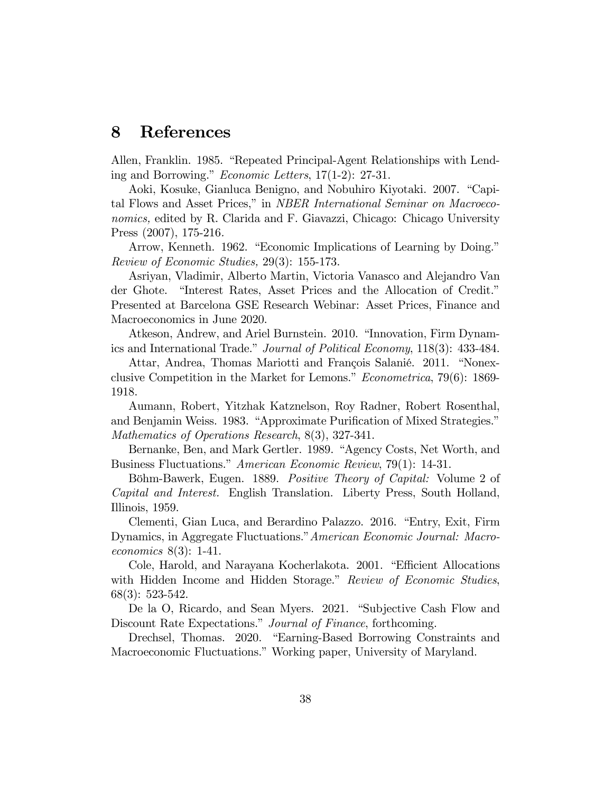## 8 References

Allen, Franklin. 1985. "Repeated Principal-Agent Relationships with Lending and Borrowing." *Economic Letters*,  $17(1-2)$ : 27-31.

Aoki, Kosuke, Gianluca Benigno, and Nobuhiro Kiyotaki. 2007. "Capital Flows and Asset Prices," in *NBER International Seminar on Macroeco*nomics, edited by R. Clarida and F. Giavazzi, Chicago: Chicago University Press (2007), 175-216.

Arrow, Kenneth. 1962. "Economic Implications of Learning by Doing." Review of Economic Studies, 29(3): 155-173.

Asriyan, Vladimir, Alberto Martin, Victoria Vanasco and Alejandro Van der Ghote. "Interest Rates, Asset Prices and the Allocation of Credit." Presented at Barcelona GSE Research Webinar: Asset Prices, Finance and Macroeconomics in June 2020.

Atkeson, Andrew, and Ariel Burnstein. 2010. "Innovation, Firm Dynamics and International Trade." Journal of Political Economy, 118(3): 433-484.

Attar, Andrea, Thomas Mariotti and François Salanié. 2011. "Nonexclusive Competition in the Market for Lemons." *Econometrica*, 79(6): 1869-1918.

Aumann, Robert, Yitzhak Katznelson, Roy Radner, Robert Rosenthal, and Benjamin Weiss. 1983. "Approximate Purification of Mixed Strategies." Mathematics of Operations Research, 8(3), 327-341.

Bernanke, Ben, and Mark Gertler. 1989. "Agency Costs, Net Worth, and Business Fluctuations." American Economic Review, 79(1): 14-31.

Böhm-Bawerk, Eugen. 1889. Positive Theory of Capital: Volume 2 of Capital and Interest. English Translation. Liberty Press, South Holland, Illinois, 1959.

Clementi, Gian Luca, and Berardino Palazzo. 2016. "Entry, Exit, Firm Dynamics, in Aggregate Fluctuations." American Economic Journal: Macroeconomics 8(3): 1-41.

Cole, Harold, and Narayana Kocherlakota. 2001. "Efficient Allocations with Hidden Income and Hidden Storage." Review of Economic Studies, 68(3): 523-542.

De la O, Ricardo, and Sean Myers. 2021. "Subjective Cash Flow and Discount Rate Expectations." Journal of Finance, forthcoming.

Drechsel, Thomas. 2020. "Earning-Based Borrowing Constraints and Macroeconomic Fluctuations." Working paper, University of Maryland.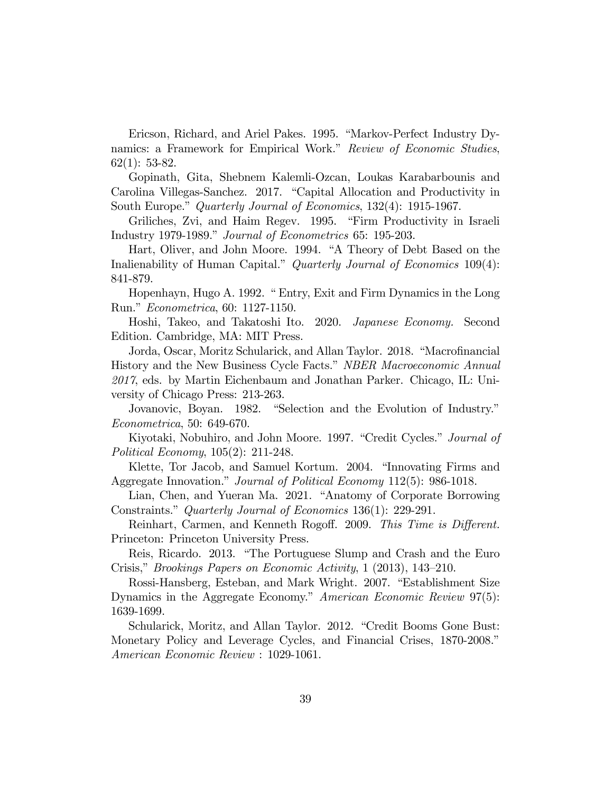Ericson, Richard, and Ariel Pakes. 1995. "Markov-Perfect Industry Dynamics: a Framework for Empirical Work." Review of Economic Studies, 62(1): 53-82.

Gopinath, Gita, Shebnem Kalemli-Ozcan, Loukas Karabarbounis and Carolina Villegas-Sanchez. 2017. "Capital Allocation and Productivity in South Europe." Quarterly Journal of Economics, 132(4): 1915-1967.

Griliches, Zvi, and Haim Regev. 1995. "Firm Productivity in Israeli Industry 1979-1989." Journal of Econometrics 65: 195-203.

Hart, Oliver, and John Moore. 1994. "A Theory of Debt Based on the Inalienability of Human Capital." Quarterly Journal of Economics  $109(4)$ : 841-879.

Hopenhayn, Hugo A. 1992. " Entry, Exit and Firm Dynamics in the Long Run." *Econometrica*, 60: 1127-1150.

Hoshi, Takeo, and Takatoshi Ito. 2020. Japanese Economy. Second Edition. Cambridge, MA: MIT Press.

Jorda, Oscar, Moritz Schularick, and Allan Taylor. 2018. "Macrofinancial History and the New Business Cycle Facts." NBER Macroeconomic Annual 2017, eds. by Martin Eichenbaum and Jonathan Parker. Chicago, IL: University of Chicago Press: 213-263.

Jovanovic, Boyan. 1982. "Selection and the Evolution of Industry." Econometrica, 50: 649-670.

Kiyotaki, Nobuhiro, and John Moore. 1997. "Credit Cycles." Journal of Political Economy, 105(2): 211-248.

Klette, Tor Jacob, and Samuel Kortum. 2004. "Innovating Firms and Aggregate Innovation." Journal of Political Economy 112(5): 986-1018.

Lian, Chen, and Yueran Ma. 2021. "Anatomy of Corporate Borrowing Constraints." Quarterly Journal of Economics 136(1): 229-291.

Reinhart, Carmen, and Kenneth Rogoff. 2009. This Time is Different. Princeton: Princeton University Press.

Reis, Ricardo. 2013. "The Portuguese Slump and Crash and the Euro Crisis," Brookings Papers on Economic Activity,  $1$  (2013), 143–210.

Rossi-Hansberg, Esteban, and Mark Wright. 2007. "Establishment Size Dynamics in the Aggregate Economy." American Economic Review 97(5): 1639-1699.

Schularick, Moritz, and Allan Taylor. 2012. "Credit Booms Gone Bust: Monetary Policy and Leverage Cycles, and Financial Crises, 1870-2008.<sup>n</sup> American Economic Review : 1029-1061.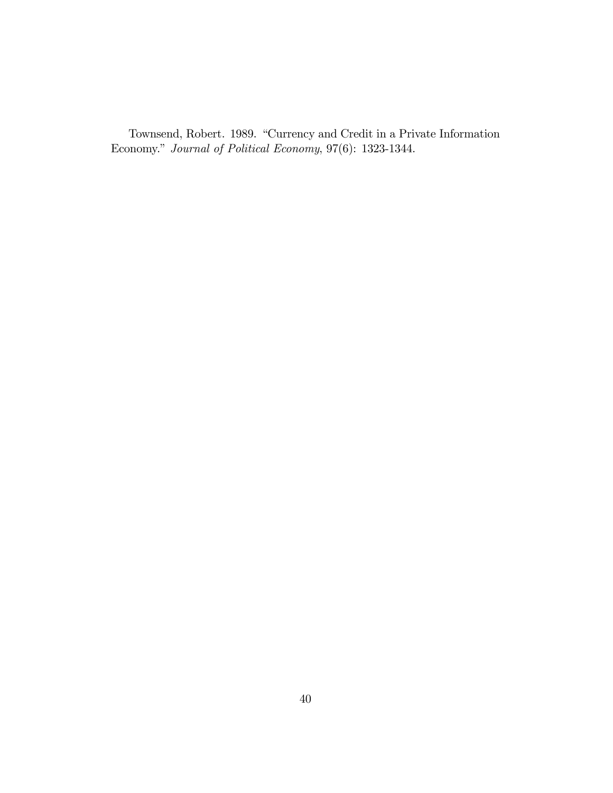Townsend, Robert. 1989. "Currency and Credit in a Private Information Economy." Journal of Political Economy, 97(6): 1323-1344.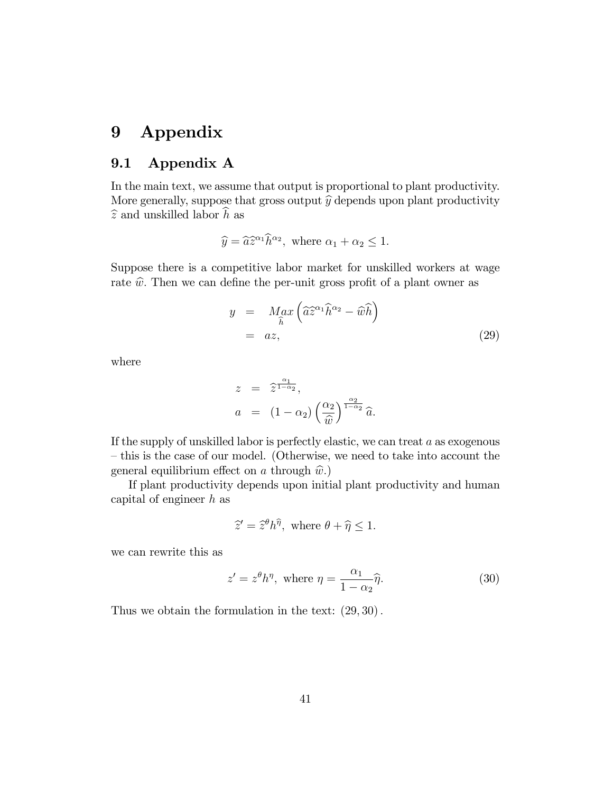## 9 Appendix

### 9.1 Appendix A

In the main text, we assume that output is proportional to plant productivity. More generally, suppose that gross output  $\hat{y}$  depends upon plant productivity  $\hat{z}$  and unskilled labor  $\hat{h}$  as

$$
\widehat{y} = \widehat{a} \widehat{z}^{\alpha_1} \widehat{h}^{\alpha_2}, \text{ where } \alpha_1 + \alpha_2 \le 1.
$$

Suppose there is a competitive labor market for unskilled workers at wage rate  $\hat{w}$ . Then we can define the per-unit gross profit of a plant owner as

$$
y = \underset{\widehat{h}}{\underset{\widehat{h}}{\underset{\widehat{n}}{\underset{\widehat{n}}{\widehat{n}}}}} \left( \widehat{a} \widehat{z}^{\alpha_1} \widehat{h}^{\alpha_2} - \widehat{w} \widehat{h} \right)
$$
\n
$$
= az, \tag{29}
$$

where

$$
z = \hat{z}^{\frac{\alpha_1}{1-\alpha_2}},
$$
  
\n
$$
a = (1-\alpha_2) \left(\frac{\alpha_2}{\hat{w}}\right)^{\frac{\alpha_2}{1-\alpha_2}} \hat{a}.
$$

If the supply of unskilled labor is perfectly elastic, we can treat a as exogenous – this is the case of our model. (Otherwise, we need to take into account the general equilibrium effect on a through  $\hat{w}$ .)

If plant productivity depends upon initial plant productivity and human capital of engineer  $h$  as

$$
\widehat{z}' = \widehat{z}^{\theta} h^{\widehat{\eta}}, \text{ where } \theta + \widehat{\eta} \le 1.
$$

we can rewrite this as

$$
z' = z^{\theta} h^{\eta}, \text{ where } \eta = \frac{\alpha_1}{1 - \alpha_2} \hat{\eta}. \tag{30}
$$

Thus we obtain the formulation in the text:  $(29, 30)$ .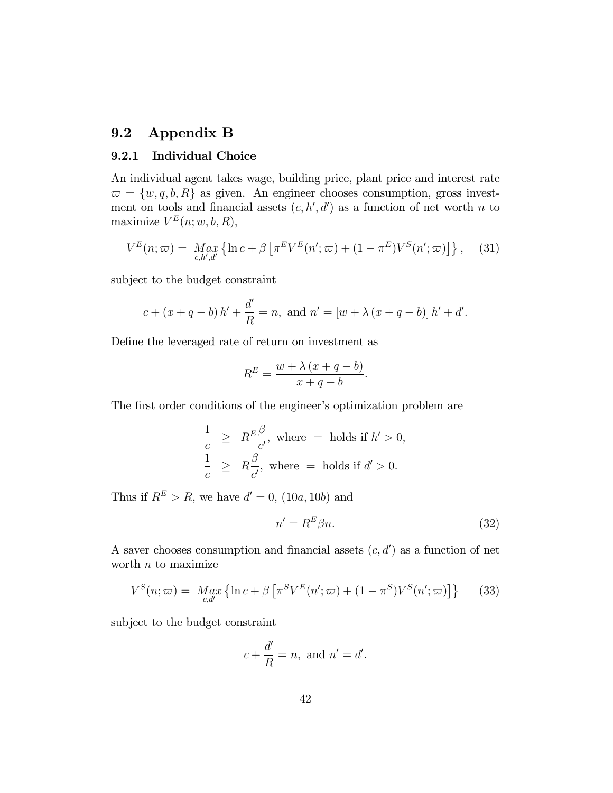### 9.2 Appendix B

### 9.2.1 Individual Choice

An individual agent takes wage, building price, plant price and interest rate  $\overline{\omega} = \{w, q, b, R\}$  as given. An engineer chooses consumption, gross investment on tools and financial assets  $(c, h', d')$  as a function of net worth n to maximize  $V^E(n; w, b, R)$ ,

$$
V^{E}(n;\varpi) = \underset{c,h',d'}{\operatorname{Max}} \left\{ \ln c + \beta \left[ \pi^{E} V^{E}(n';\varpi) + (1 - \pi^{E}) V^{S}(n';\varpi) \right] \right\}, \quad (31)
$$

subject to the budget constraint

$$
c + (x + q - b) h' + \frac{d'}{R} = n
$$
, and  $n' = [w + \lambda (x + q - b)] h' + d'$ .

Define the leveraged rate of return on investment as

$$
R^{E} = \frac{w + \lambda (x + q - b)}{x + q - b}.
$$

The first order conditions of the engineer's optimization problem are

$$
\frac{1}{c} \geq R^E \frac{\beta}{c'}, \text{ where } = \text{ holds if } h' > 0,
$$
  

$$
\frac{1}{c} \geq R \frac{\beta}{c'}, \text{ where } = \text{ holds if } d' > 0.
$$

Thus if  $R^E > R$ , we have  $d' = 0$ ,  $(10a, 10b)$  and

$$
n' = R^E \beta n. \tag{32}
$$

A saver chooses consumption and financial assets  $(c, d')$  as a function of net worth  $n$  to maximize

$$
V^{S}(n;\varpi) = \underset{c,d'}{Max} \left\{ \ln c + \beta \left[ \pi^{S} V^{E}(n';\varpi) + (1 - \pi^{S}) V^{S}(n';\varpi) \right] \right\} \tag{33}
$$

subject to the budget constraint

$$
c + \frac{d'}{R} = n, \text{ and } n' = d'.
$$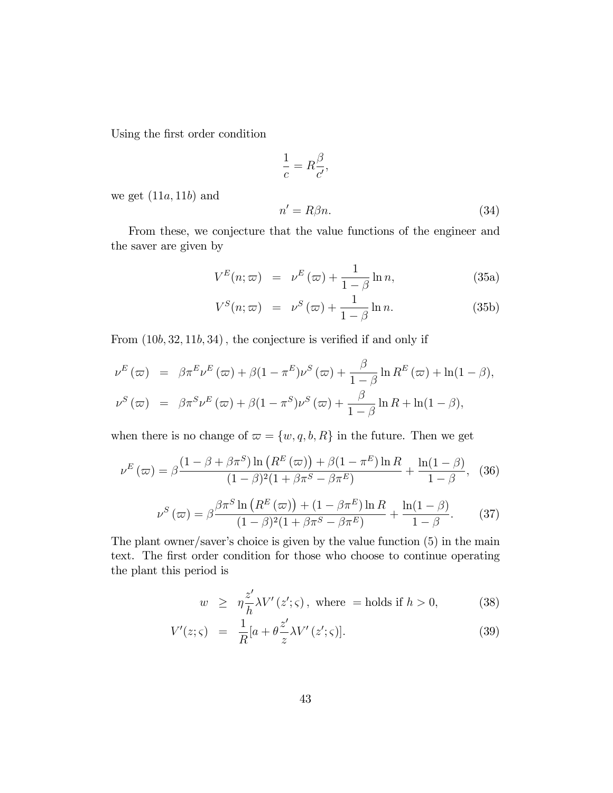Using the first order condition

$$
\frac{1}{c} = R\frac{\beta}{c'},
$$
\n
$$
\frac{1}{c} = R\frac{\beta}{c'},
$$
\n(24)

we get  $(11a, 11b)$  and

$$
n' = R\beta n. \tag{34}
$$

From these, we conjecture that the value functions of the engineer and the saver are given by

$$
V^{E}(n; \varpi) = \nu^{E}(\varpi) + \frac{1}{1-\beta} \ln n, \qquad (35a)
$$

$$
V^{S}(n; \varpi) = \nu^{S}(\varpi) + \frac{1}{1 - \beta} \ln n.
$$
 (35b)

From  $(10b, 32, 11b, 34)$ , the conjecture is verified if and only if

$$
\nu^{E}(\varpi) = \beta \pi^{E} \nu^{E}(\varpi) + \beta (1 - \pi^{E}) \nu^{S}(\varpi) + \frac{\beta}{1 - \beta} \ln R^{E}(\varpi) + \ln(1 - \beta),
$$
  

$$
\nu^{S}(\varpi) = \beta \pi^{S} \nu^{E}(\varpi) + \beta (1 - \pi^{S}) \nu^{S}(\varpi) + \frac{\beta}{1 - \beta} \ln R + \ln(1 - \beta),
$$

when there is no change of  $\varpi = \{w, q, b, R\}$  in the future. Then we get

$$
\nu^{E}(\varpi) = \beta \frac{\left(1 - \beta + \beta \pi^{S}\right) \ln\left(R^{E}(\varpi)\right) + \beta \left(1 - \pi^{E}\right) \ln R}{\left(1 - \beta\right)^{2} \left(1 + \beta \pi^{S} - \beta \pi^{E}\right)} + \frac{\ln(1 - \beta)}{1 - \beta}, \quad (36)
$$

$$
\nu^S(\varpi) = \beta \frac{\beta \pi^S \ln \left( R^E(\varpi) \right) + (1 - \beta \pi^E) \ln R}{(1 - \beta)^2 (1 + \beta \pi^S - \beta \pi^E)} + \frac{\ln(1 - \beta)}{1 - \beta}.
$$
 (37)

The plant owner/saver's choice is given by the value function  $(5)$  in the main text. The first order condition for those who choose to continue operating the plant this period is

$$
w \ge \eta \frac{z'}{h} \lambda V'(z'; \varsigma), \text{ where } = \text{holds if } h > 0,
$$
 (38)

$$
V'(z;\varsigma) = \frac{1}{R}[a + \theta \frac{z'}{z} \lambda V'(z';\varsigma)]. \tag{39}
$$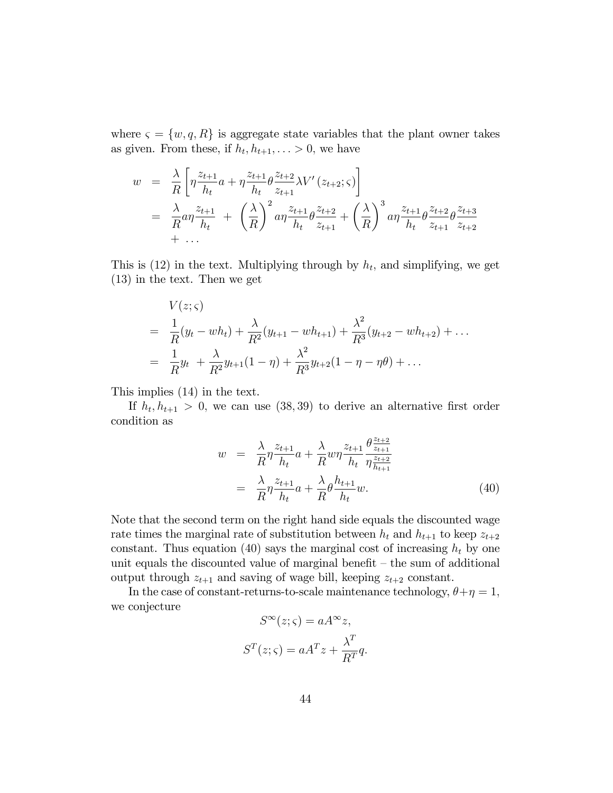where  $\varsigma = \{w, q, R\}$  is aggregate state variables that the plant owner takes as given. From these, if  $h_t, h_{t+1}, \ldots > 0$ , we have

$$
w = \frac{\lambda}{R} \left[ \eta \frac{z_{t+1}}{h_t} a + \eta \frac{z_{t+1}}{h_t} \theta \frac{z_{t+2}}{z_{t+1}} \lambda V'(z_{t+2}; \zeta) \right]
$$
  
=  $\frac{\lambda}{R} a \eta \frac{z_{t+1}}{h_t} + \left(\frac{\lambda}{R}\right)^2 a \eta \frac{z_{t+1}}{h_t} \theta \frac{z_{t+2}}{z_{t+1}} + \left(\frac{\lambda}{R}\right)^3 a \eta \frac{z_{t+1}}{h_t} \theta \frac{z_{t+2}}{z_{t+1}} \theta \frac{z_{t+3}}{z_{t+2}} + \dots$ 

This is  $(12)$  in the text. Multiplying through by  $h_t$ , and simplifying, we get (13) in the text. Then we get

$$
V(z;\varsigma)
$$
  
=  $\frac{1}{R}(y_t - wh_t) + \frac{\lambda}{R^2}(y_{t+1} - wh_{t+1}) + \frac{\lambda^2}{R^3}(y_{t+2} - wh_{t+2}) + ...$   
=  $\frac{1}{R}y_t + \frac{\lambda}{R^2}y_{t+1}(1-\eta) + \frac{\lambda^2}{R^3}y_{t+2}(1-\eta-\eta\theta) + ...$ 

This implies (14) in the text.

If  $h_t, h_{t+1} > 0$ , we can use  $(38, 39)$  to derive an alternative first order condition as

$$
w = \frac{\lambda}{R} \eta \frac{z_{t+1}}{h_t} a + \frac{\lambda}{R} w \eta \frac{z_{t+1}}{h_t} \frac{\theta \frac{z_{t+2}}{z_{t+1}}}{\eta \frac{z_{t+2}}{h_{t+1}}} = \frac{\lambda}{R} \eta \frac{z_{t+1}}{h_t} a + \frac{\lambda}{R} \theta \frac{h_{t+1}}{h_t} w.
$$
(40)

Note that the second term on the right hand side equals the discounted wage rate times the marginal rate of substitution between  $h_t$  and  $h_{t+1}$  to keep  $z_{t+2}$ constant. Thus equation (40) says the marginal cost of increasing  $h_t$  by one unit equals the discounted value of marginal benefit  $-$  the sum of additional output through  $z_{t+1}$  and saving of wage bill, keeping  $z_{t+2}$  constant.

In the case of constant-returns-to-scale maintenance technology,  $\theta + \eta = 1$ , we conjecture

$$
S^{\infty}(z;\varsigma) = aA^{\infty}z,
$$
  

$$
S^{T}(z;\varsigma) = aA^{T}z + \frac{\lambda^{T}}{R^{T}}q.
$$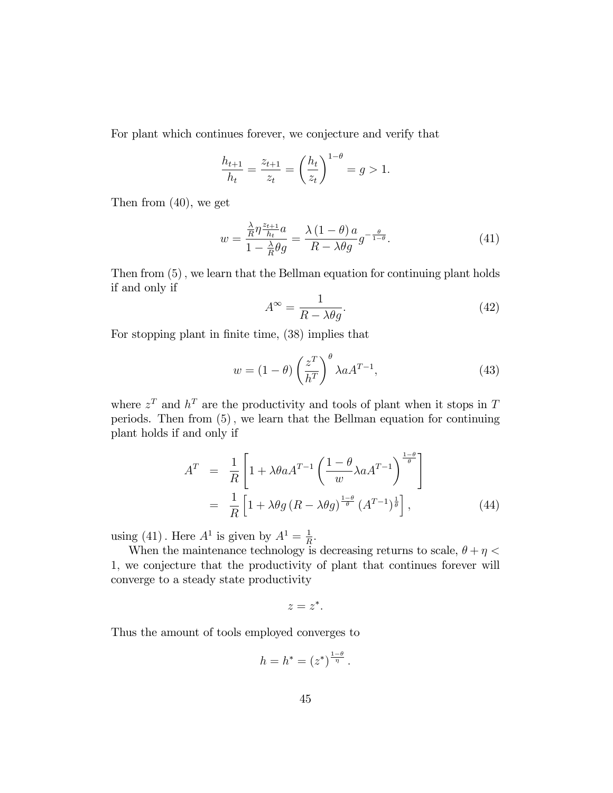For plant which continues forever, we conjecture and verify that

$$
\frac{h_{t+1}}{h_t} = \frac{z_{t+1}}{z_t} = \left(\frac{h_t}{z_t}\right)^{1-\theta} = g > 1.
$$

Then from (40), we get

$$
w = \frac{\frac{\lambda}{R} \eta \frac{z_{t+1}}{h_t} a}{1 - \frac{\lambda}{R} \theta g} = \frac{\lambda \left( 1 - \theta \right) a}{R - \lambda \theta g} g^{-\frac{\theta}{1 - \theta}}.
$$
\n(41)

Then from  $(5)$ , we learn that the Bellman equation for continuing plant holds if and only if

$$
A^{\infty} = \frac{1}{R - \lambda \theta g}.
$$
\n(42)

For stopping plant in finite time,  $(38)$  implies that

$$
w = (1 - \theta) \left(\frac{z^T}{h^T}\right)^{\theta} \lambda a A^{T-1},\tag{43}
$$

where  $z<sup>T</sup>$  and  $h<sup>T</sup>$  are the productivity and tools of plant when it stops in T periods. Then from  $(5)$ , we learn that the Bellman equation for continuing plant holds if and only if

$$
AT = \frac{1}{R} \left[ 1 + \lambda \theta a A^{T-1} \left( \frac{1 - \theta}{w} \lambda a A^{T-1} \right)^{\frac{1 - \theta}{\theta}} \right]
$$
  
=  $\frac{1}{R} \left[ 1 + \lambda \theta g (R - \lambda \theta g)^{\frac{1 - \theta}{\theta}} (A^{T-1})^{\frac{1}{\theta}} \right],$  (44)

using (41). Here  $A^1$  is given by  $A^1 = \frac{1}{B}$  $\frac{1}{R}$ .

When the maintenance technology is decreasing returns to scale,  $\theta + \eta <$ 1; we conjecture that the productivity of plant that continues forever will converge to a steady state productivity

$$
z=z^*.
$$

Thus the amount of tools employed converges to

$$
h = h^* = (z^*)^{\frac{1-\theta}{\eta}}
$$
.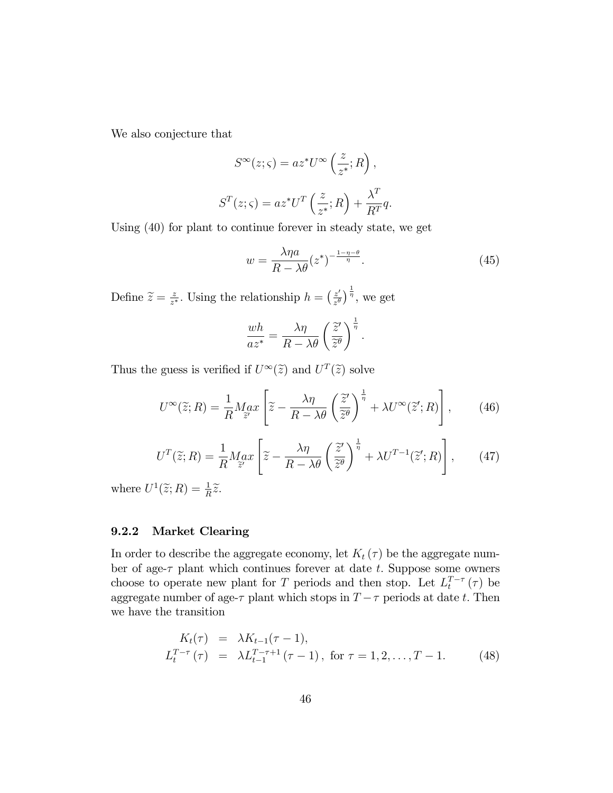We also conjecture that

$$
S^{\infty}(z;\varsigma) = az^*U^{\infty}\left(\frac{z}{z^*};R\right),
$$
  

$$
S^T(z;\varsigma) = az^*U^T\left(\frac{z}{z^*};R\right) + \frac{\lambda^T}{R^T}q.
$$

Using (40) for plant to continue forever in steady state, we get

$$
w = \frac{\lambda \eta a}{R - \lambda \theta} (z^*)^{-\frac{1 - \eta - \theta}{\eta}}.
$$
\n(45)

Define  $\widetilde{z} = \frac{z}{z^2}$  $\frac{z}{z^*}$ . Using the relationship  $h = \left(\frac{z'}{z^{\theta}}\right)$  $\left(\frac{z'}{z^{\theta}}\right)^{\frac{1}{\eta}},$  we get

$$
\frac{wh}{az^*} = \frac{\lambda \eta}{R - \lambda \theta} \left(\frac{\tilde{z}'}{\tilde{z}^\theta}\right)^{\frac{1}{\eta}}.
$$

Thus the guess is verified if  $U^{\infty}(\tilde{z})$  and  $U^{T}(\tilde{z})$  solve

$$
U^{\infty}(\widetilde{z};R) = \frac{1}{R} M_{\widetilde{z}'} \left[ \widetilde{z} - \frac{\lambda \eta}{R - \lambda \theta} \left( \frac{\widetilde{z}'}{\widetilde{z}^{\theta}} \right)^{\frac{1}{\eta}} + \lambda U^{\infty}(\widetilde{z}';R) \right],\qquad(46)
$$

$$
U^{T}(\widetilde{z};R) = \frac{1}{R} M_{\widetilde{z}'} \left[ \widetilde{z} - \frac{\lambda \eta}{R - \lambda \theta} \left( \frac{\widetilde{z}'}{\widetilde{z}'} \right)^{\frac{1}{\eta}} + \lambda U^{T-1}(\widetilde{z}';R) \right],\qquad(47)
$$

where  $U^1(\widetilde{z};R) = \frac{1}{R}\widetilde{z}$ .

### 9.2.2 Market Clearing

In order to describe the aggregate economy, let  $K_t(\tau)$  be the aggregate number of age- $\tau$  plant which continues forever at date t. Suppose some owners choose to operate new plant for T periods and then stop. Let  $L_t^{T-\tau}(\tau)$  be aggregate number of age- $\tau$  plant which stops in  $T - \tau$  periods at date t. Then we have the transition

$$
K_t(\tau) = \lambda K_{t-1}(\tau - 1),
$$
  
\n
$$
L_t^{T-\tau}(\tau) = \lambda L_{t-1}^{T-\tau+1}(\tau - 1), \text{ for } \tau = 1, 2, ..., T - 1.
$$
 (48)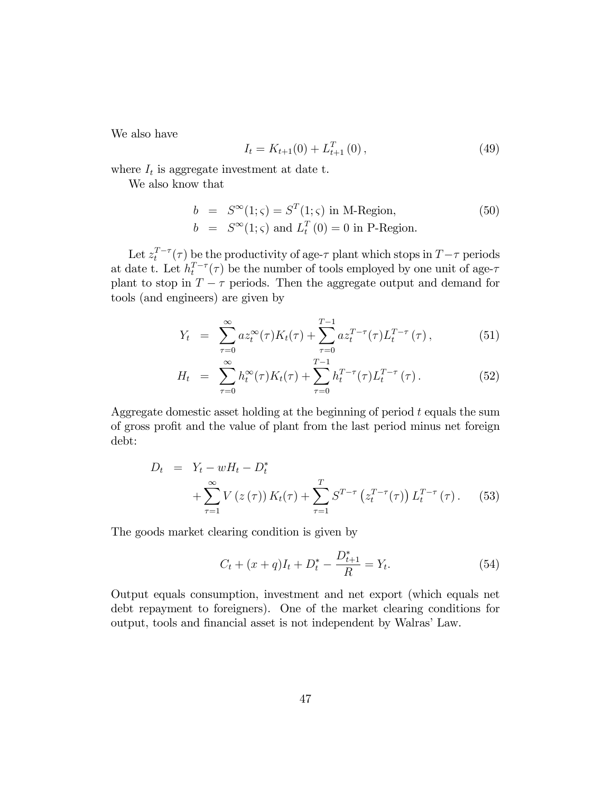We also have

$$
I_t = K_{t+1}(0) + L_{t+1}^T(0), \qquad (49)
$$

where  $I_t$  is aggregate investment at date t.

We also know that

$$
b = S^{\infty}(1; \varsigma) = S^{T}(1; \varsigma) \text{ in M-Region},
$$
  
\n
$$
b = S^{\infty}(1; \varsigma) \text{ and } L_{t}^{T}(0) = 0 \text{ in P-Region}.
$$
\n(50)

Let  $z_t^{T-\tau}(\tau)$  be the productivity of age- $\tau$  plant which stops in  $T-\tau$  periods at date t. Let  $h_t^{T-\tau}(\tau)$  be the number of tools employed by one unit of age- $\tau$ plant to stop in  $T - \tau$  periods. Then the aggregate output and demand for tools (and engineers) are given by

$$
Y_t = \sum_{\tau=0}^{\infty} a z_t^{\infty}(\tau) K_t(\tau) + \sum_{\tau=0}^{T-1} a z_t^{T-\tau}(\tau) L_t^{T-\tau}(\tau), \qquad (51)
$$

$$
H_t = \sum_{\tau=0}^{\infty} h_t^{\infty}(\tau) K_t(\tau) + \sum_{\tau=0}^{T-1} h_t^{T-\tau}(\tau) L_t^{T-\tau}(\tau).
$$
 (52)

Aggregate domestic asset holding at the beginning of period  $t$  equals the sum of gross profit and the value of plant from the last period minus net foreign debt:

$$
D_t = Y_t - wH_t - D_t^*
$$
  
+ 
$$
\sum_{\tau=1}^{\infty} V(z(\tau)) K_t(\tau) + \sum_{\tau=1}^T S^{T-\tau} (z_t^{T-\tau}(\tau)) L_t^{T-\tau}(\tau).
$$
 (53)

The goods market clearing condition is given by

$$
C_t + (x+q)I_t + D_t^* - \frac{D_{t+1}^*}{R} = Y_t.
$$
\n(54)

Output equals consumption, investment and net export (which equals net debt repayment to foreigners). One of the market clearing conditions for output, tools and financial asset is not independent by Walras' Law.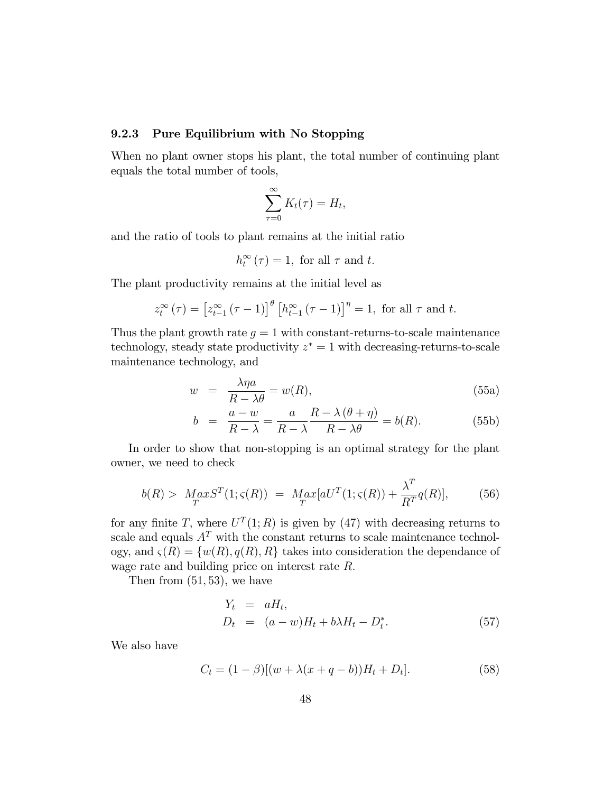#### 9.2.3 Pure Equilibrium with No Stopping

When no plant owner stops his plant, the total number of continuing plant equals the total number of tools,

$$
\sum_{\tau=0}^{\infty} K_t(\tau) = H_t,
$$

and the ratio of tools to plant remains at the initial ratio

$$
h_t^{\infty}(\tau) = 1, \text{ for all } \tau \text{ and } t.
$$

The plant productivity remains at the initial level as

$$
z_t^{\infty}(\tau) = [z_{t-1}^{\infty}(\tau - 1)]^{\theta} [h_{t-1}^{\infty}(\tau - 1)]^{\eta} = 1, \text{ for all } \tau \text{ and } t.
$$

Thus the plant growth rate  $g = 1$  with constant-returns-to-scale maintenance technology, steady state productivity  $z^* = 1$  with decreasing-returns-to-scale maintenance technology, and

$$
w = \frac{\lambda \eta a}{R - \lambda \theta} = w(R), \tag{55a}
$$

$$
b = \frac{a - w}{R - \lambda} = \frac{a}{R - \lambda} \frac{R - \lambda(\theta + \eta)}{R - \lambda \theta} = b(R). \tag{55b}
$$

In order to show that non-stopping is an optimal strategy for the plant owner, we need to check

$$
b(R) > Max ST(1; \varsigma(R)) = Max[aUT(1; \varsigma(R)) + \frac{\lambda^T}{R^T}q(R)],
$$
 (56)

for any finite T, where  $U^{T}(1;R)$  is given by (47) with decreasing returns to scale and equals  $A<sup>T</sup>$  with the constant returns to scale maintenance technology, and  $\varsigma(R) = \{w(R), q(R), R\}$  takes into consideration the dependance of wage rate and building price on interest rate R.

Then from  $(51, 53)$ , we have

$$
Y_t = aH_t,
$$
  
\n
$$
D_t = (a - w)H_t + b\lambda H_t - D_t^*.
$$
\n(57)

We also have

$$
C_t = (1 - \beta)[(w + \lambda(x + q - b))H_t + D_t].
$$
\n(58)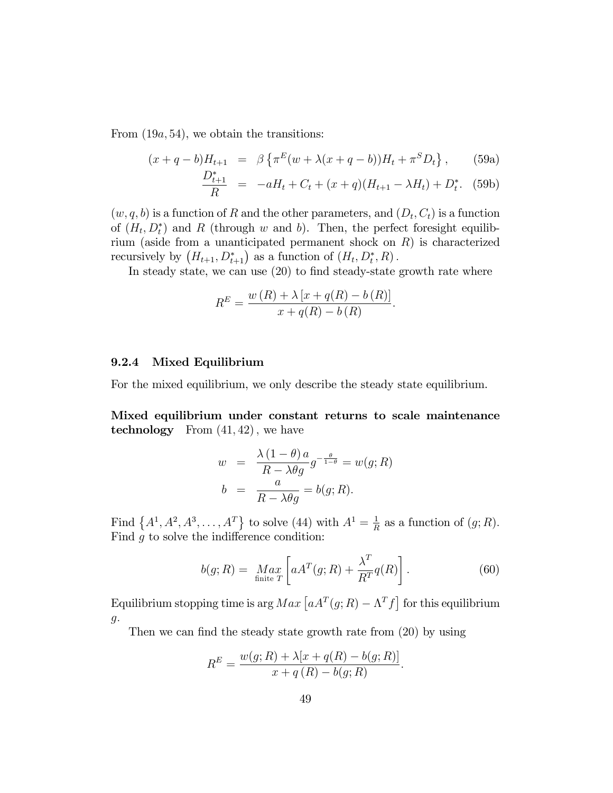From  $(19a, 54)$ , we obtain the transitions:

$$
(x+q-b)H_{t+1} = \beta \left\{ \pi^E (w + \lambda (x+q-b))H_t + \pi^S D_t \right\},
$$
 (59a)

$$
\frac{D_{t+1}^*}{R} = -aH_t + C_t + (x+q)(H_{t+1} - \lambda H_t) + D_t^*.
$$
 (59b)

 $(w, q, b)$  is a function of R and the other parameters, and  $(D_t, C_t)$  is a function of  $(H_t, D_t^*)$  and R (through w and b). Then, the perfect foresight equilibrium (aside from a unanticipated permanent shock on  $R$ ) is characterized recursively by  $(H_{t+1}, D_{t+1}^*)$  as a function of  $(H_t, D_t^*, R)$ .

In steady state, we can use  $(20)$  to find steady-state growth rate where

$$
R^{E} = \frac{w(R) + \lambda [x + q(R) - b(R)]}{x + q(R) - b(R)}.
$$

#### 9.2.4 Mixed Equilibrium

For the mixed equilibrium, we only describe the steady state equilibrium.

Mixed equilibrium under constant returns to scale maintenance technology From  $(41, 42)$ , we have

$$
w = \frac{\lambda (1 - \theta) a}{R - \lambda \theta g} g^{-\frac{\theta}{1 - \theta}} = w(g; R)
$$

$$
b = \frac{a}{R - \lambda \theta g} = b(g; R).
$$

Find  $\{A^1, A^2, A^3, ..., A^T\}$  to solve (44) with  $A^1 = \frac{1}{B}$  $\frac{1}{R}$  as a function of  $(g; R)$ . Find  $g$  to solve the indifference condition:

$$
b(g;R) = \underset{\text{finite } T}{Max} \left[ aA^T(g;R) + \frac{\lambda^T}{R^T} q(R) \right]. \tag{60}
$$

Equilibrium stopping time is arg  $Max \left[ aA^{T}(g; R) - \Lambda^{T} f \right]$  for this equilibrium  $g.$ 

Then we can find the steady state growth rate from  $(20)$  by using

$$
R^{E} = \frac{w(g; R) + \lambda[x + q(R) - b(g; R)]}{x + q(R) - b(g; R)}.
$$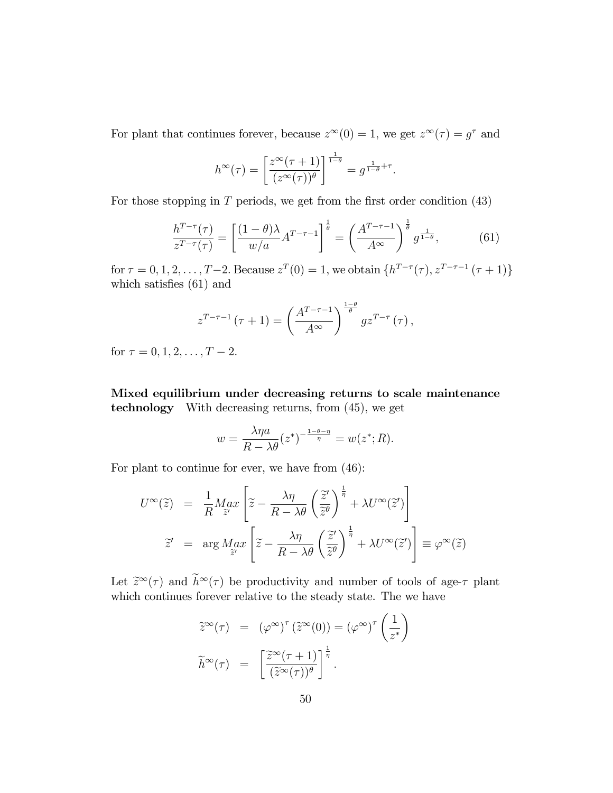For plant that continues forever, because  $z^{\infty}(0) = 1$ , we get  $z^{\infty}(\tau) = g^{\tau}$  and

$$
h^{\infty}(\tau) = \left[\frac{z^{\infty}(\tau+1)}{(z^{\infty}(\tau))^{\theta}}\right]^{\frac{1}{1-\theta}} = g^{\frac{1}{1-\theta}+\tau}.
$$

For those stopping in  $T$  periods, we get from the first order condition  $(43)$ 

$$
\frac{h^{T-\tau}(\tau)}{z^{T-\tau}(\tau)} = \left[\frac{(1-\theta)\lambda}{w/a}A^{T-\tau-1}\right]^{\frac{1}{\theta}} = \left(\frac{A^{T-\tau-1}}{A^{\infty}}\right)^{\frac{1}{\theta}}g^{\frac{1}{1-\theta}},\tag{61}
$$

for  $\tau = 0, 1, 2, ..., T-2$ . Because  $z^T(0) = 1$ , we obtain  $\{h^{T-\tau}(\tau), z^{T-\tau-1}(\tau+1)\}$ which satisfies  $(61)$  and

$$
z^{T-\tau-1}(\tau+1) = \left(\frac{A^{T-\tau-1}}{A^{\infty}}\right)^{\frac{1-\theta}{\theta}}gz^{T-\tau}(\tau),
$$

for  $\tau = 0, 1, 2, \ldots, T - 2$ .

Mixed equilibrium under decreasing returns to scale maintenance technology With decreasing returns, from (45), we get

$$
w = \frac{\lambda \eta a}{R - \lambda \theta} (z^*)^{-\frac{1 - \theta - \eta}{\eta}} = w(z^*; R).
$$

For plant to continue for ever, we have from (46):

$$
U^{\infty}(\tilde{z}) = \frac{1}{R} M_{\tilde{z}'} \left[ \tilde{z} - \frac{\lambda \eta}{R - \lambda \theta} \left( \frac{\tilde{z}'}{\tilde{z}^{\theta}} \right)^{\frac{1}{\eta}} + \lambda U^{\infty}(\tilde{z}') \right]
$$
  

$$
\tilde{z}' = \arg M_{\tilde{z}'} \left[ \tilde{z} - \frac{\lambda \eta}{R - \lambda \theta} \left( \frac{\tilde{z}'}{\tilde{z}^{\theta}} \right)^{\frac{1}{\eta}} + \lambda U^{\infty}(\tilde{z}') \right] \equiv \varphi^{\infty}(\tilde{z})
$$

Let  $\tilde{z}^{\infty}(\tau)$  and  $h^{\infty}(\tau)$  be productivity and number of tools of age- $\tau$  plant which continues forever relative to the steady state. The we have

$$
\tilde{z}^{\infty}(\tau) = (\varphi^{\infty})^{\tau} (\tilde{z}^{\infty}(0)) = (\varphi^{\infty})^{\tau} \left(\frac{1}{z^*}\right)
$$

$$
\tilde{h}^{\infty}(\tau) = \left[\frac{\tilde{z}^{\infty}(\tau + 1)}{(\tilde{z}^{\infty}(\tau))^{\theta}}\right]^{\frac{1}{\eta}}.
$$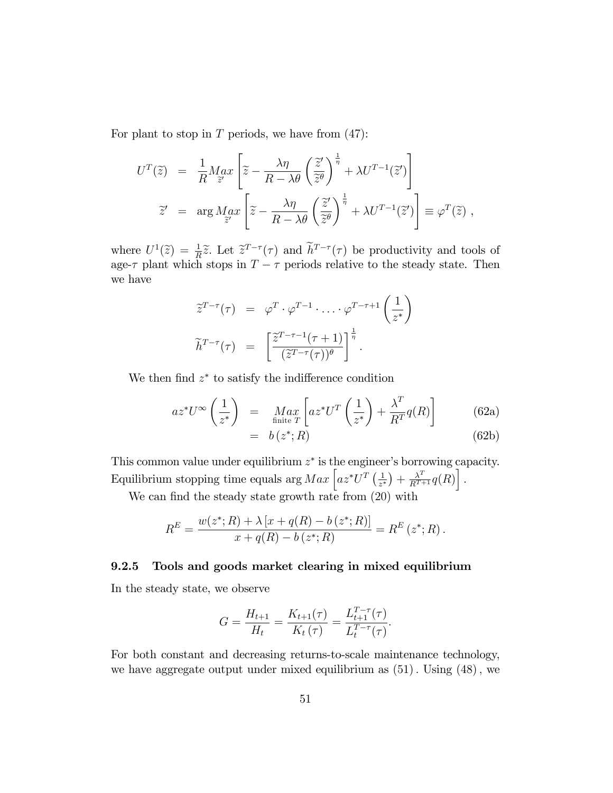For plant to stop in  $T$  periods, we have from  $(47)$ :

$$
U^{T}(\tilde{z}) = \frac{1}{R} M_{\tilde{z}'}^{a} \left[ \tilde{z} - \frac{\lambda \eta}{R - \lambda \theta} \left( \frac{\tilde{z}'}{\tilde{z}^{\theta}} \right)^{\frac{1}{\eta}} + \lambda U^{T-1}(\tilde{z}') \right]
$$
  

$$
\tilde{z}' = \arg M_{\tilde{z}'}^{a} \left[ \tilde{z} - \frac{\lambda \eta}{R - \lambda \theta} \left( \frac{\tilde{z}'}{\tilde{z}^{\theta}} \right)^{\frac{1}{\eta}} + \lambda U^{T-1}(\tilde{z}') \right] \equiv \varphi^{T}(\tilde{z}),
$$

where  $U^1(\tilde{z}) = \frac{1}{R}\tilde{z}$ . Let  $\tilde{z}^{T-\tau}(\tau)$  and  $\tilde{h}^{T-\tau}(\tau)$  be productivity and tools of age- $\tau$  plant which stops in  $T - \tau$  periods relative to the steady state. Then we have

$$
\widetilde{z}^{T-\tau}(\tau) = \varphi^T \cdot \varphi^{T-1} \cdot \dots \cdot \varphi^{T-\tau+1} \left( \frac{1}{z^*} \right)
$$

$$
\widetilde{h}^{T-\tau}(\tau) = \left[ \frac{\widetilde{z}^{T-\tau-1}(\tau+1)}{(\widetilde{z}^{T-\tau}(\tau))^{\theta}} \right]^{\frac{1}{\eta}}.
$$

We then find  $z^*$  to satisfy the indifference condition

$$
az^*U^{\infty}\left(\frac{1}{z^*}\right) = \underset{k(z^*, P)}{\operatorname{Max}} \left[az^*U^T\left(\frac{1}{z^*}\right) + \frac{\lambda^T}{R^T}q(R)\right]
$$
(62a)

$$
= b(z^*;R) \tag{62b}
$$

This common value under equilibrium  $z^*$  is the engineer's borrowing capacity. Equilibrium stopping time equals arg  $Max \left[ az^*U^T \left( \frac{1}{z^*} \right) \right]$  $\frac{1}{z^*}\big) + \frac{\lambda^T}{R^{T+1}} q(R)\bigg]$  .

We can find the steady state growth rate from  $(20)$  with

$$
R^{E} = \frac{w(z^*; R) + \lambda [x + q(R) - b(z^*; R)]}{x + q(R) - b(z^*; R)} = R^{E}(z^*; R).
$$

#### 9.2.5 Tools and goods market clearing in mixed equilibrium

In the steady state, we observe

$$
G = \frac{H_{t+1}}{H_t} = \frac{K_{t+1}(\tau)}{K_t(\tau)} = \frac{L_{t+1}^{T-\tau}(\tau)}{L_t^{T-\tau}(\tau)}.
$$

For both constant and decreasing returns-to-scale maintenance technology, we have aggregate output under mixed equilibrium as  $(51)$ . Using  $(48)$ , we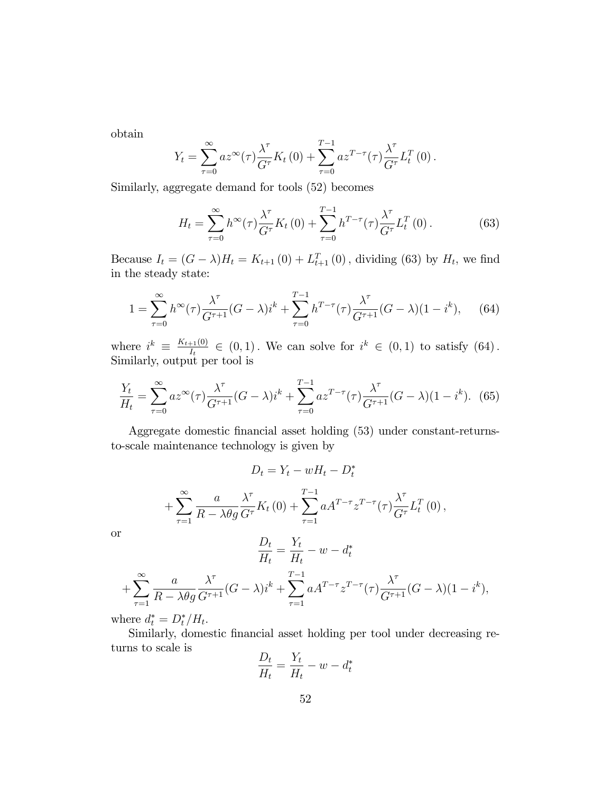obtain

$$
Y_t = \sum_{\tau=0}^{\infty} a z^{\infty}(\tau) \frac{\lambda^{\tau}}{G^{\tau}} K_t(0) + \sum_{\tau=0}^{T-1} a z^{T-\tau}(\tau) \frac{\lambda^{\tau}}{G^{\tau}} L_t^T(0).
$$

Similarly, aggregate demand for tools (52) becomes

$$
H_t = \sum_{\tau=0}^{\infty} h^{\infty}(\tau) \frac{\lambda^{\tau}}{G^{\tau}} K_t(0) + \sum_{\tau=0}^{T-1} h^{T-\tau}(\tau) \frac{\lambda^{\tau}}{G^{\tau}} L_t^T(0).
$$
 (63)

Because  $I_t = (G - \lambda)H_t = K_{t+1}(0) + L_{t+1}^T(0)$ , dividing (63) by  $H_t$ , we find in the steady state:

$$
1 = \sum_{\tau=0}^{\infty} h^{\infty}(\tau) \frac{\lambda^{\tau}}{G^{\tau+1}} (G - \lambda) i^{k} + \sum_{\tau=0}^{T-1} h^{T-\tau}(\tau) \frac{\lambda^{\tau}}{G^{\tau+1}} (G - \lambda) (1 - i^{k}), \quad (64)
$$

where  $i^k \equiv \frac{K_{t+1}(0)}{I_t}$  $I_t^{\frac{1}{10}} \in (0,1)$ . We can solve for  $i^k \in (0,1)$  to satisfy  $(64)$ . Similarly, output per tool is

$$
\frac{Y_t}{H_t} = \sum_{\tau=0}^{\infty} a z^{\infty}(\tau) \frac{\lambda^{\tau}}{G^{\tau+1}} (G - \lambda) i^k + \sum_{\tau=0}^{T-1} a z^{T-\tau}(\tau) \frac{\lambda^{\tau}}{G^{\tau+1}} (G - \lambda) (1 - i^k). \tag{65}
$$

Aggregate domestic financial asset holding (53) under constant-returnsto-scale maintenance technology is given by

$$
D_t = Y_t - wH_t - D_t^*
$$

$$
+\sum_{\tau=1}^{\infty}\frac{a}{R-\lambda\theta g}\frac{\lambda^{\tau}}{G^{\tau}}K_{t}\left(0\right)+\sum_{\tau=1}^{T-1}aA^{T-\tau}z^{T-\tau}(\tau)\frac{\lambda^{\tau}}{G^{\tau}}L_{t}^{T}\left(0\right),
$$

or

$$
\frac{D_t}{H_t} = \frac{Y_t}{H_t} - w - d_t^*
$$
  
+
$$
\sum_{\tau=1}^{\infty} \frac{a}{R - \lambda \theta g} \frac{\lambda^{\tau}}{G^{\tau+1}} (G - \lambda) i^k + \sum_{\tau=1}^{T-1} a A^{T-\tau} z^{T-\tau} (\tau) \frac{\lambda^{\tau}}{G^{\tau+1}} (G - \lambda) (1 - i^k),
$$

where  $d_t^* = D_t^* / H_t$ .

Similarly, domestic financial asset holding per tool under decreasing returns to scale is  $\overline{Y}$ 

$$
\frac{D_t}{H_t} = \frac{Y_t}{H_t} - w - d_t^*
$$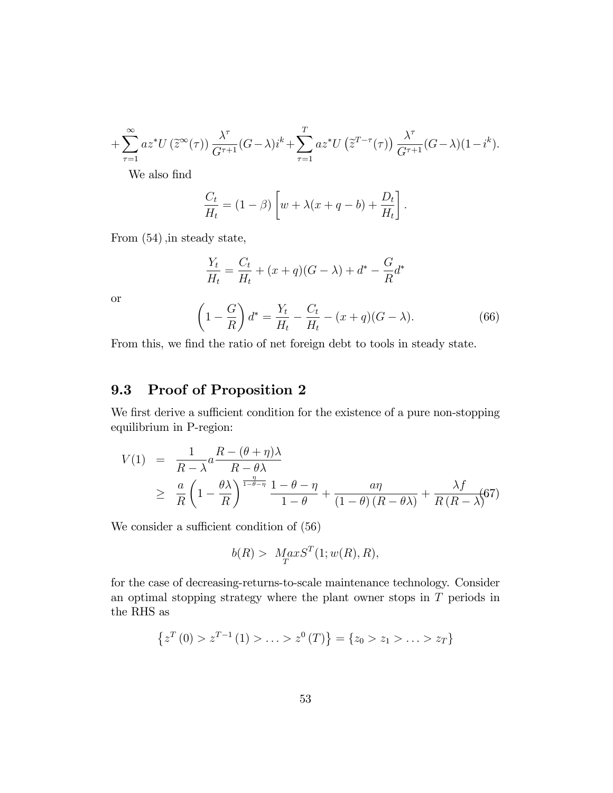$$
+\sum_{\tau=1}^{\infty}az^*U\left(\tilde{z}^{\infty}(\tau)\right)\frac{\lambda^{\tau}}{G^{\tau+1}}(G-\lambda)i^k+\sum_{\tau=1}^Taz^*U\left(\tilde{z}^{T-\tau}(\tau)\right)\frac{\lambda^{\tau}}{G^{\tau+1}}(G-\lambda)(1-i^k).
$$

We also find

or

$$
\frac{C_t}{H_t} = (1 - \beta) \left[ w + \lambda (x + q - b) + \frac{D_t}{H_t} \right].
$$

From  $(54)$ , in steady state,

$$
\frac{Y_t}{H_t} = \frac{C_t}{H_t} + (x+q)(G-\lambda) + d^* - \frac{G}{R}d^*
$$
\n
$$
\left(1 - \frac{G}{R}\right)d^* = \frac{Y_t}{H_t} - \frac{C_t}{H_t} - (x+q)(G-\lambda).
$$
\n(66)

From this, we find the ratio of net foreign debt to tools in steady state.

## 9.3 Proof of Proposition 2

We first derive a sufficient condition for the existence of a pure non-stopping equilibrium in P-region:

$$
V(1) = \frac{1}{R - \lambda} a \frac{R - (\theta + \eta)\lambda}{R - \theta\lambda}
$$
  
\n
$$
\geq \frac{a}{R} \left(1 - \frac{\theta\lambda}{R}\right)^{\frac{\eta}{1 - \theta - \eta}} \frac{1 - \theta - \eta}{1 - \theta} + \frac{a\eta}{(1 - \theta)(R - \theta\lambda)} + \frac{\lambda f}{R(R - \lambda)}(67)
$$

We consider a sufficient condition of  $(56)$ 

$$
b(R) > Max ST(1; w(R), R),
$$

for the case of decreasing-returns-to-scale maintenance technology. Consider an optimal stopping strategy where the plant owner stops in T periods in the RHS as

$$
\{z^T(0) > z^{T-1}(1) > \ldots > z^0(T)\} = \{z_0 > z_1 > \ldots > z_T\}
$$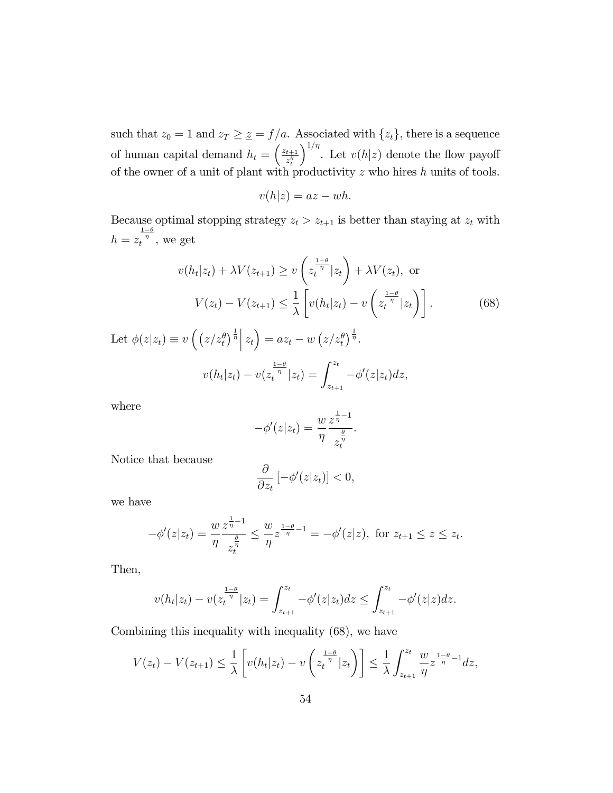such that  $z_0 = 1$  and  $z_T \geq \underline{z} = f/a$ . Associated with  $\{z_t\}$ , there is a sequence of human capital demand  $h_t = \left(\frac{z_{t+1}}{z^{\theta}}\right)$  $z_t^\theta$  $\int^{1/\eta}$ . Let  $v(h|z)$  denote the flow payoff of the owner of a unit of plant with productivity  $z$  who hires  $h$  units of tools.

$$
v(h|z) = az - wh.
$$

Because optimal stopping strategy  $z_t > z_{t+1}$  is better than staying at  $z_t$  with  $h = z_t^{\frac{1-\theta}{\eta}},$  we get

$$
v(h_t|z_t) + \lambda V(z_{t+1}) \ge v\left(z_t^{\frac{1-\theta}{\eta}}|z_t\right) + \lambda V(z_t), \text{ or}
$$

$$
V(z_t) - V(z_{t+1}) \le \frac{1}{\lambda} \left[ v(h_t|z_t) - v\left(z_t^{\frac{1-\theta}{\eta}}|z_t\right) \right].
$$
(68)

Let  $\phi(z|z_t) \equiv v\left(\left(z/z_t^{\theta}\right)^{\frac{1}{\eta}}\Big|z_t\right) = az_t - w\left(z/z_t^{\theta}\right)^{\frac{1}{\eta}}$ .  $v(h_t|z_t) - v(z_t^{\frac{1-\theta}{\eta}}|z_t) = \int_{z_{t+1}}^{z_t} -\phi'(z|z_t)dz,$ 

where

$$
-\phi'(z|z_t) = \frac{w}{\eta} \frac{z^{\frac{1}{\eta}-1}}{z_t^{\frac{\theta}{\eta}}}.
$$

Notice that because

$$
\frac{\partial}{\partial z_t} \left[ -\phi'(z|z_t) \right] < 0,
$$

we have

$$
-\phi'(z|z_t) = \frac{w}{\eta} \frac{z^{\frac{1}{\eta}-1}}{z^{\frac{\theta}{\eta}}_t} \leq \frac{w}{\eta} z^{\frac{1-\theta}{\eta}-1} = -\phi'(z|z), \text{ for } z_{t+1} \leq z \leq z_t.
$$

Then,

$$
v(h_t|z_t) - v(z_t^{\frac{1-\theta}{\eta}}|z_t) = \int_{z_{t+1}}^{z_t} -\phi'(z|z_t)dz \le \int_{z_{t+1}}^{z_t} -\phi'(z|z)dz.
$$

Combining this inequality with inequality (68), we have

$$
V(z_t) - V(z_{t+1}) \leq \frac{1}{\lambda} \left[ v(h_t|z_t) - v\left(z_t^{\frac{1-\theta}{\eta}}|z_t\right) \right] \leq \frac{1}{\lambda} \int_{z_{t+1}}^{z_t} \frac{w}{\eta} z^{\frac{1-\theta}{\eta}-1} dz,
$$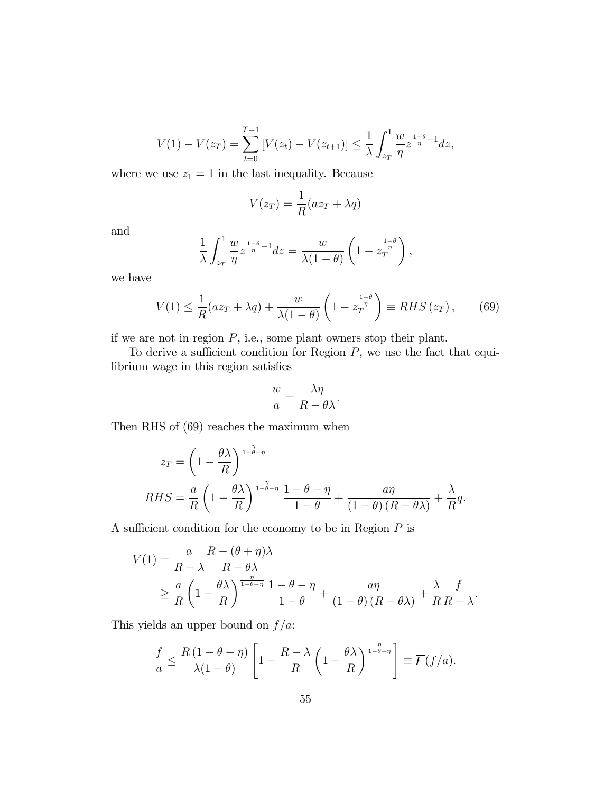$$
V(1) - V(z_T) = \sum_{t=0}^{T-1} \left[ V(z_t) - V(z_{t+1}) \right] \le \frac{1}{\lambda} \int_{z_T}^1 \frac{w}{\eta} z^{\frac{1-\theta}{\eta}-1} dz,
$$

where we use  $z_1 = 1$  in the last inequality. Because

$$
V(z_T) = \frac{1}{R}(az_T + \lambda q)
$$

and

$$
\frac{1}{\lambda} \int_{z_T}^1 \frac{w}{\eta} z^{\frac{1-\theta}{\eta}-1} dz = \frac{w}{\lambda(1-\theta)} \left(1 - z_T^{\frac{1-\theta}{\eta}}\right),
$$

we have

$$
V(1) \le \frac{1}{R}(az_T + \lambda q) + \frac{w}{\lambda(1-\theta)} \left(1 - z_T^{\frac{1-\theta}{\eta}}\right) \equiv RHS(z_T), \qquad (69)
$$

if we are not in region  $P$ , i.e., some plant owners stop their plant.

To derive a sufficient condition for Region  $P$ , we use the fact that equilibrium wage in this region satisfies

$$
\frac{w}{a} = \frac{\lambda \eta}{R - \theta \lambda}.
$$

Then RHS of (69) reaches the maximum when

$$
z_T = \left(1 - \frac{\theta \lambda}{R}\right)^{\frac{\eta}{1 - \theta - \eta}}
$$
  
RHS =  $\frac{a}{R} \left(1 - \frac{\theta \lambda}{R}\right)^{\frac{\eta}{1 - \theta - \eta}} \frac{1 - \theta - \eta}{1 - \theta} + \frac{a\eta}{(1 - \theta)(R - \theta \lambda)} + \frac{\lambda}{R}q.$ 

A sufficient condition for the economy to be in Region  $P$  is

$$
V(1) = \frac{a}{R - \lambda} \frac{R - (\theta + \eta)\lambda}{R - \theta\lambda}
$$
  
 
$$
\geq \frac{a}{R} \left(1 - \frac{\theta\lambda}{R}\right)^{\frac{\eta}{1 - \theta - \eta}} \frac{1 - \theta - \eta}{1 - \theta} + \frac{a\eta}{(1 - \theta)(R - \theta\lambda)} + \frac{\lambda}{R} \frac{f}{R - \lambda}.
$$

This yields an upper bound on  $f/a$ :

$$
\frac{f}{a} \le \frac{R(1-\theta-\eta)}{\lambda(1-\theta)} \left[1 - \frac{R-\lambda}{R} \left(1 - \frac{\theta\lambda}{R}\right)^{\frac{\eta}{1-\theta-\eta}}\right] \equiv \overline{F}(f/a).
$$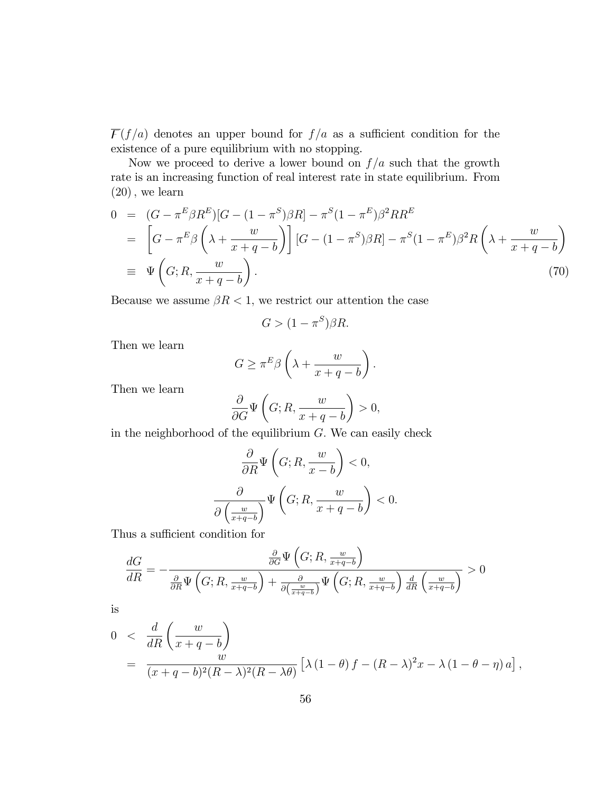$\overline{F}(f/a)$  denotes an upper bound for  $f/a$  as a sufficient condition for the existence of a pure equilibrium with no stopping.

Now we proceed to derive a lower bound on  $f/a$  such that the growth rate is an increasing function of real interest rate in state equilibrium. From  $(20)$ , we learn

$$
0 = (G - \pi^{E} \beta R^{E}) [G - (1 - \pi^{S}) \beta R] - \pi^{S} (1 - \pi^{E}) \beta^{2} R R^{E}
$$
  
\n
$$
= \left[ G - \pi^{E} \beta \left( \lambda + \frac{w}{x + q - b} \right) \right] [G - (1 - \pi^{S}) \beta R] - \pi^{S} (1 - \pi^{E}) \beta^{2} R \left( \lambda + \frac{w}{x + q - b} \right)
$$
  
\n
$$
\equiv \Psi \left( G; R, \frac{w}{x + q - b} \right). \tag{70}
$$

Because we assume  $\beta R < 1$ , we restrict our attention the case

$$
G > (1 - \pi^S)\beta R.
$$

Then we learn

$$
G \ge \pi^E \beta \left(\lambda + \frac{w}{x+q-b}\right).
$$

Then we learn

$$
\frac{\partial}{\partial G} \Psi \left( G; R, \frac{w}{x + q - b} \right) > 0,
$$

in the neighborhood of the equilibrium  $G$ . We can easily check

$$
\frac{\partial}{\partial R} \Psi\left(G; R, \frac{w}{x-b}\right) < 0,
$$
\n
$$
\frac{\partial}{\partial \left(\frac{w}{x+q-b}\right)} \Psi\left(G; R, \frac{w}{x+q-b}\right) < 0.
$$

Thus a sufficient condition for

$$
\frac{dG}{dR} = -\frac{\frac{\partial}{\partial G} \Psi\left(G; R, \frac{w}{x+q-b}\right)}{\frac{\partial}{\partial R} \Psi\left(G; R, \frac{w}{x+q-b}\right) + \frac{\partial}{\partial \left(\frac{w}{x+q-b}\right)} \Psi\left(G; R, \frac{w}{x+q-b}\right) \frac{d}{dR} \left(\frac{w}{x+q-b}\right)} > 0
$$

is

$$
0 < \frac{d}{dR} \left( \frac{w}{x+q-b} \right)
$$
  
= 
$$
\frac{w}{(x+q-b)^2 (R-\lambda)^2 (R-\lambda \theta)} \left[ \lambda (1-\theta) f - (R-\lambda)^2 x - \lambda (1-\theta - \eta) a \right],
$$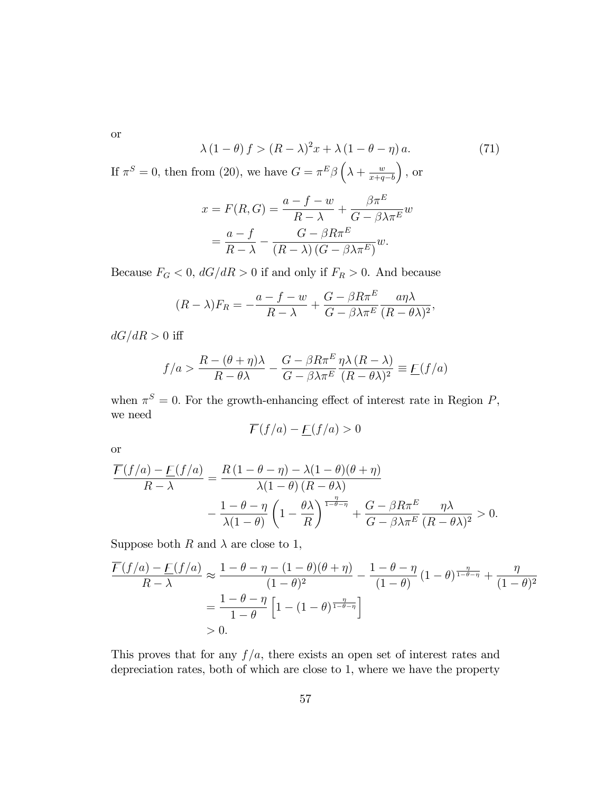or

$$
\lambda (1 - \theta) f > (R - \lambda)^2 x + \lambda (1 - \theta - \eta) a. \tag{71}
$$

If  $\pi^S = 0$ , then from (20), we have  $G = \pi^E \beta \left( \lambda + \frac{w}{\tau + a} \right)$  $x+q-b$  $\big)$ , or

$$
x = F(R, G) = \frac{a - f - w}{R - \lambda} + \frac{\beta \pi^E}{G - \beta \lambda \pi^E} w
$$

$$
= \frac{a - f}{R - \lambda} - \frac{G - \beta R \pi^E}{(R - \lambda) (G - \beta \lambda \pi^E)} w.
$$

Because  $F_G < 0$ ,  $dG/dR > 0$  if and only if  $F_R > 0$ . And because

$$
(R - \lambda)F_R = -\frac{a - f - w}{R - \lambda} + \frac{G - \beta R \pi^E}{G - \beta \lambda \pi^E} \frac{a \eta \lambda}{(R - \theta \lambda)^2},
$$

 $dG/dR > 0$  iff

$$
f/a > \frac{R - (\theta + \eta)\lambda}{R - \theta\lambda} - \frac{G - \beta R\pi^E}{G - \beta\lambda\pi^E} \frac{\eta\lambda (R - \lambda)}{(R - \theta\lambda)^2} \equiv \underline{F}(f/a)
$$

when  $\pi^S = 0$ . For the growth-enhancing effect of interest rate in Region P, we need

$$
\overline{F}(f/a) - \underline{F}(f/a) > 0
$$

or

$$
\frac{\overline{F}(f/a) - \underline{F}(f/a)}{R - \lambda} = \frac{R(1 - \theta - \eta) - \lambda(1 - \theta)(\theta + \eta)}{\lambda(1 - \theta)(R - \theta\lambda)} \n- \frac{1 - \theta - \eta}{\lambda(1 - \theta)} \left(1 - \frac{\theta\lambda}{R}\right)^{\frac{\eta}{1 - \theta - \eta}} + \frac{G - \beta R\pi^E}{G - \beta\lambda\pi^E} \frac{\eta\lambda}{(R - \theta\lambda)^2} > 0.
$$

Suppose both R and  $\lambda$  are close to 1,

$$
\frac{\overline{F}(f/a) - \underline{F}(f/a)}{R - \lambda} \approx \frac{1 - \theta - \eta - (1 - \theta)(\theta + \eta)}{(1 - \theta)^2} - \frac{1 - \theta - \eta}{(1 - \theta)} (1 - \theta)^{\frac{\eta}{1 - \theta - \eta}} + \frac{\eta}{(1 - \theta)^2}
$$

$$
= \frac{1 - \theta - \eta}{1 - \theta} \left[ 1 - (1 - \theta)^{\frac{\eta}{1 - \theta - \eta}} \right]
$$

$$
> 0.
$$

This proves that for any  $f/a$ , there exists an open set of interest rates and depreciation rates, both of which are close to 1, where we have the property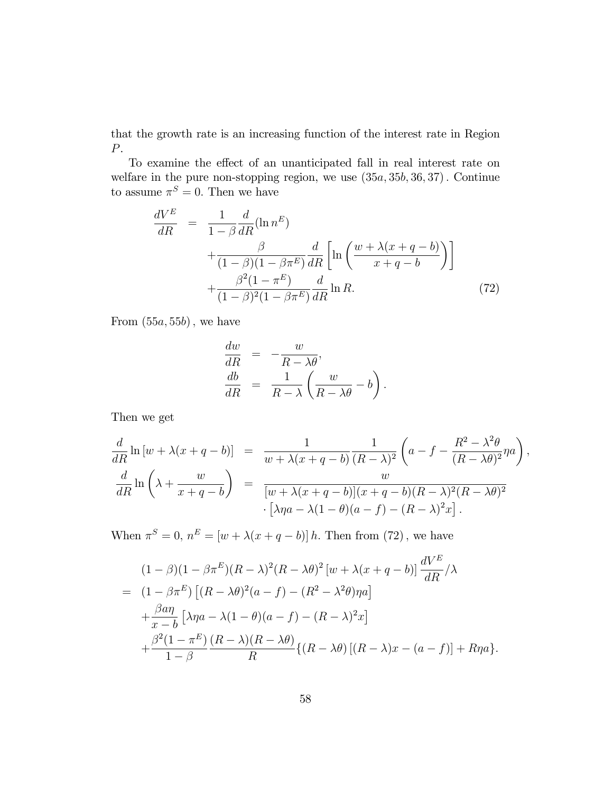that the growth rate is an increasing function of the interest rate in Region P.

To examine the effect of an unanticipated fall in real interest rate on welfare in the pure non-stopping region, we use  $(35a, 35b, 36, 37)$ . Continue to assume  $\pi^S = 0$ . Then we have

$$
\frac{dV^E}{dR} = \frac{1}{1-\beta} \frac{d}{dR} (\ln n^E)
$$
  
 
$$
+ \frac{\beta}{(1-\beta)(1-\beta\pi^E)} \frac{d}{dR} \left[ \ln \left( \frac{w + \lambda(x+q-b)}{x+q-b} \right) \right]
$$
  
 
$$
+ \frac{\beta^2 (1-\pi^E)}{(1-\beta)^2 (1-\beta\pi^E)} \frac{d}{dR} \ln R.
$$
 (72)

From  $(55a, 55b)$ , we have

$$
\frac{dw}{dR} = -\frac{w}{R - \lambda\theta},
$$
  
\n
$$
\frac{db}{dR} = \frac{1}{R - \lambda} \left( \frac{w}{R - \lambda\theta} - b \right).
$$

Then we get

$$
\frac{d}{dR}\ln\left[w+\lambda(x+q-b)\right] = \frac{1}{w+\lambda(x+q-b)}\frac{1}{(R-\lambda)^2}\left(a-f-\frac{R^2-\lambda^2\theta}{(R-\lambda\theta)^2}\eta a\right),
$$
  

$$
\frac{d}{dR}\ln\left(\lambda+\frac{w}{x+q-b}\right) = \frac{w}{[w+\lambda(x+q-b)](x+q-b)(R-\lambda)^2(R-\lambda\theta)^2}
$$
  

$$
\cdot\left[\lambda\eta a-\lambda(1-\theta)(a-f)-(R-\lambda)^2x\right].
$$

When  $\pi^S = 0$ ,  $n^E = [w + \lambda(x + q - b)] h$ . Then from (72), we have

$$
(1 - \beta)(1 - \beta \pi^{E})(R - \lambda)^{2}(R - \lambda \theta)^{2}[w + \lambda(x + q - b)] \frac{dV^{E}}{dR} / \lambda
$$
  
= 
$$
(1 - \beta \pi^{E}) [(R - \lambda \theta)^{2}(a - f) - (R^{2} - \lambda^{2}\theta)\eta a]
$$

$$
+ \frac{\beta a \eta}{x - b} [\lambda \eta a - \lambda (1 - \theta)(a - f) - (R - \lambda)^{2}x]
$$

$$
+ \frac{\beta^{2}(1 - \pi^{E})}{1 - \beta} \frac{(R - \lambda)(R - \lambda \theta)}{R} \{(R - \lambda \theta) [(R - \lambda)x - (a - f)] + R\eta a\}.
$$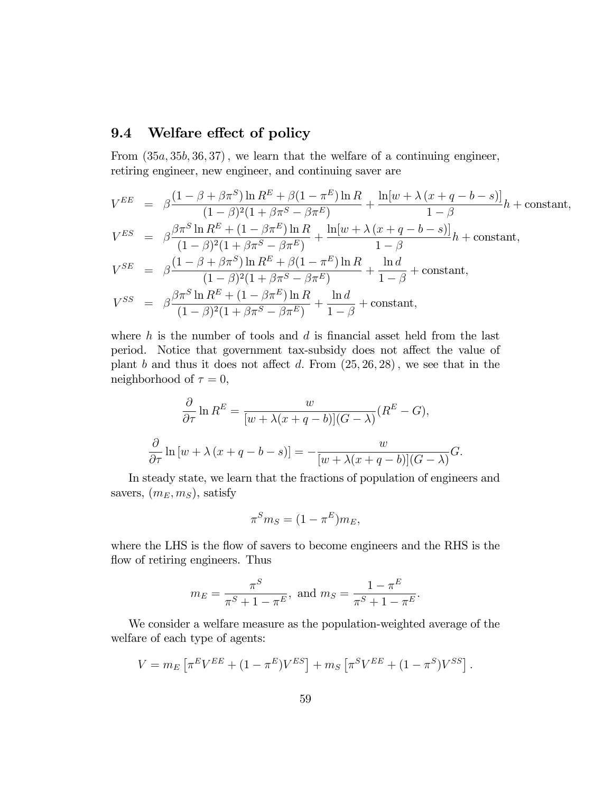### 9.4 Welfare effect of policy

From  $(35a, 35b, 36, 37)$ , we learn that the welfare of a continuing engineer, retiring engineer, new engineer, and continuing saver are

$$
V^{EE} = \beta \frac{(1 - \beta + \beta \pi^S) \ln R^E + \beta (1 - \pi^E) \ln R}{(1 - \beta)^2 (1 + \beta \pi^S - \beta \pi^E)} + \frac{\ln[w + \lambda (x + q - b - s)]}{1 - \beta} h + \text{constant},
$$
  
\n
$$
V^{ES} = \beta \frac{\beta \pi^S \ln R^E + (1 - \beta \pi^E) \ln R}{(1 - \beta)^2 (1 + \beta \pi^S - \beta \pi^E)} + \frac{\ln[w + \lambda (x + q - b - s)]}{1 - \beta} h + \text{constant},
$$
  
\n
$$
V^{SE} = \beta \frac{(1 - \beta + \beta \pi^S) \ln R^E + \beta (1 - \pi^E) \ln R}{(1 - \beta)^2 (1 + \beta \pi^S - \beta \pi^E)} + \frac{\ln d}{1 - \beta} + \text{constant},
$$
  
\n
$$
V^{SS} = \beta \frac{\beta \pi^S \ln R^E + (1 - \beta \pi^E) \ln R}{(1 - \beta)^2 (1 + \beta \pi^S - \beta \pi^E)} + \frac{\ln d}{1 - \beta} + \text{constant},
$$

where  $h$  is the number of tools and  $d$  is financial asset held from the last period. Notice that government tax-subsidy does not affect the value of plant b and thus it does not affect d. From  $(25, 26, 28)$ , we see that in the neighborhood of  $\tau = 0$ ,

$$
\frac{\partial}{\partial \tau} \ln R^{E} = \frac{w}{[w + \lambda(x + q - b)](G - \lambda)} (R^{E} - G),
$$

$$
\frac{\partial}{\partial \tau} \ln [w + \lambda(x + q - b - s)] = -\frac{w}{[w + \lambda(x + q - b)](G - \lambda)} G.
$$

In steady state, we learn that the fractions of population of engineers and savers,  $(m_E, m_S)$ , satisfy

$$
\pi^S m_S = (1 - \pi^E) m_E,
$$

where the LHS is the flow of savers to become engineers and the RHS is the flow of retiring engineers. Thus

$$
m_E = \frac{\pi^S}{\pi^S + 1 - \pi^E}
$$
, and  $m_S = \frac{1 - \pi^E}{\pi^S + 1 - \pi^E}$ .

We consider a welfare measure as the population-weighted average of the welfare of each type of agents:

$$
V = m_E \left[ \pi^E V^{EE} + (1 - \pi^E) V^{ES} \right] + m_S \left[ \pi^S V^{EE} + (1 - \pi^S) V^{SS} \right].
$$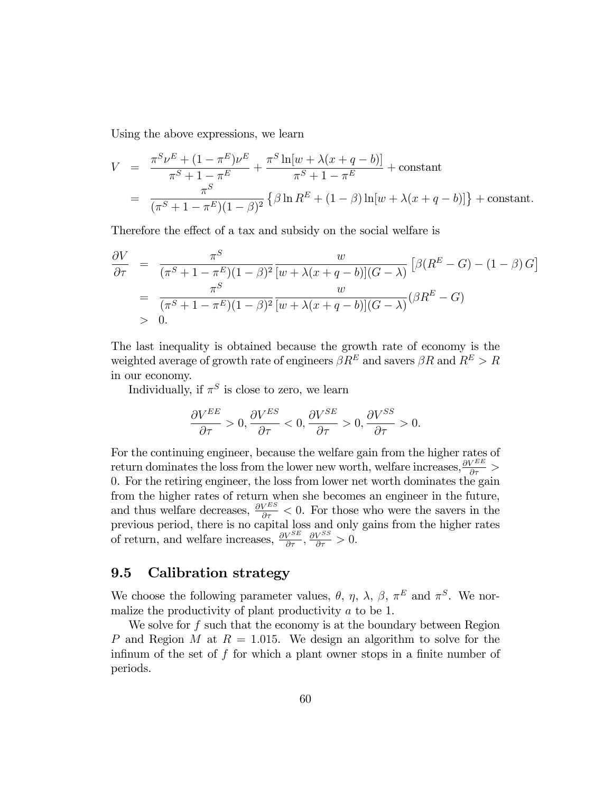Using the above expressions, we learn

$$
V = \frac{\pi^S \nu^E + (1 - \pi^E) \nu^E}{\pi^S + 1 - \pi^E} + \frac{\pi^S \ln[w + \lambda(x + q - b)]}{\pi^S + 1 - \pi^E} + \text{constant}
$$
  
= 
$$
\frac{\pi^S}{(\pi^S + 1 - \pi^E)(1 - \beta)^2} \left\{ \beta \ln R^E + (1 - \beta) \ln[w + \lambda(x + q - b)] \right\} + \text{constant}.
$$

Therefore the effect of a tax and subsidy on the social welfare is

$$
\frac{\partial V}{\partial \tau} = \frac{\pi^S}{(\pi^S + 1 - \pi^E)(1 - \beta)^2} \frac{w}{[w + \lambda(x + q - b)](G - \lambda)} \left[ \beta(R^E - G) - (1 - \beta)G \right]
$$
  
\n
$$
= \frac{\pi^S}{(\pi^S + 1 - \pi^E)(1 - \beta)^2} \frac{w}{[w + \lambda(x + q - b)](G - \lambda)} (\beta R^E - G)
$$
  
\n
$$
> 0.
$$

The last inequality is obtained because the growth rate of economy is the weighted average of growth rate of engineers  $\beta R^{E}$  and savers  $\beta R$  and  $R^{E} > R$ in our economy.

Individually, if  $\pi^S$  is close to zero, we learn

$$
\frac{\partial V^{EE}}{\partial \tau} > 0, \frac{\partial V^{ES}}{\partial \tau} < 0, \frac{\partial V^{SE}}{\partial \tau} > 0, \frac{\partial V^{SS}}{\partial \tau} > 0.
$$

For the continuing engineer, because the welfare gain from the higher rates of return dominates the loss from the lower new worth, welfare increases,  $\frac{\partial V^{EE}}{\partial \tau}$  > 0. For the retiring engineer, the loss from lower net worth dominates the gain from the higher rates of return when she becomes an engineer in the future, and thus welfare decreases,  $\frac{\partial V^{ES}}{\partial \tau} < 0$ . For those who were the savers in the previous period, there is no capital loss and only gains from the higher rates of return, and welfare increases,  $\frac{\partial V^{SE}}{\partial \tau}$ ,  $\frac{\partial V^{SS}}{\partial \tau} > 0$ .

### 9.5 Calibration strategy

We choose the following parameter values,  $\theta$ ,  $\eta$ ,  $\lambda$ ,  $\beta$ ,  $\pi^{E}$  and  $\pi^{S}$ . We normalize the productivity of plant productivity a to be 1.

We solve for f such that the economy is at the boundary between Region P and Region M at  $R = 1.015$ . We design an algorithm to solve for the infinum of the set of f for which a plant owner stops in a finite number of periods.